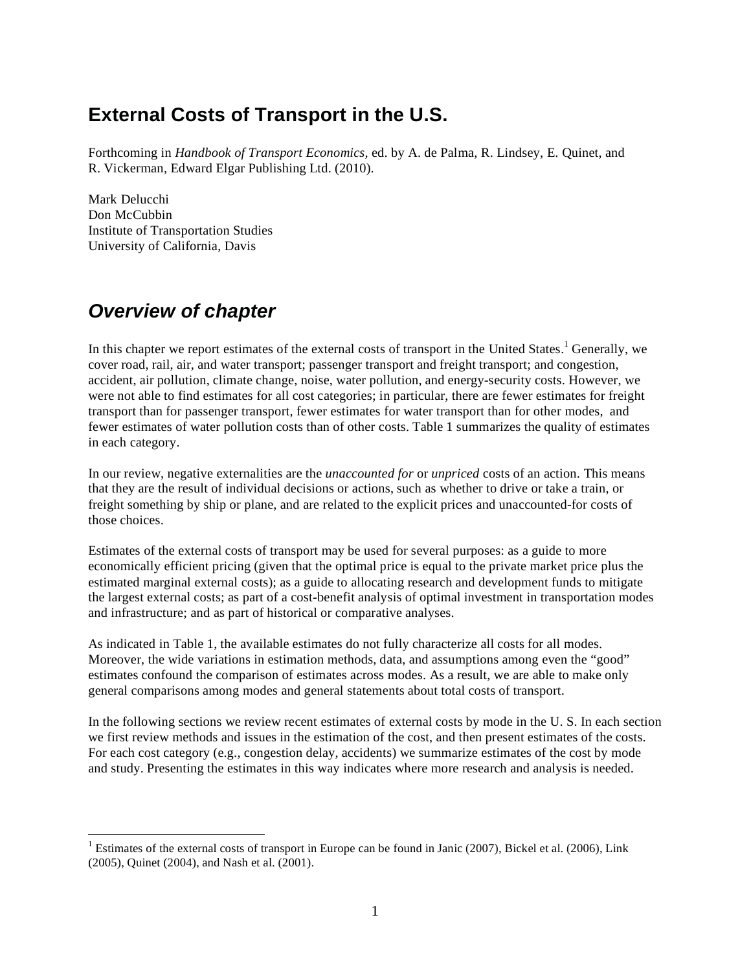## **External Costs of Transport in the U.S.**

Forthcoming in *Handbook of Transport Economics,* ed. by A. de Palma, R. Lindsey, E. Quinet, and R. Vickerman, Edward Elgar Publishing Ltd. (2010).

Mark Delucchi Don McCubbin Institute of Transportation Studies University of California, Davis

# *Overview of chapter*

 $\overline{a}$ 

In this chapter we report estimates of the external costs of transport in the United States.<sup>1</sup> Generally, we cover road, rail, air, and water transport; passenger transport and freight transport; and congestion, accident, air pollution, climate change, noise, water pollution, and energy-security costs. However, we were not able to find estimates for all cost categories; in particular, there are fewer estimates for freight transport than for passenger transport, fewer estimates for water transport than for other modes, and fewer estimates of water pollution costs than of other costs. Table 1 summarizes the quality of estimates in each category.

In our review, negative externalities are the *unaccounted for* or *unpriced* costs of an action. This means that they are the result of individual decisions or actions, such as whether to drive or take a train, or freight something by ship or plane, and are related to the explicit prices and unaccounted-for costs of those choices.

Estimates of the external costs of transport may be used for several purposes: as a guide to more economically efficient pricing (given that the optimal price is equal to the private market price plus the estimated marginal external costs); as a guide to allocating research and development funds to mitigate the largest external costs; as part of a cost-benefit analysis of optimal investment in transportation modes and infrastructure; and as part of historical or comparative analyses.

As indicated in Table 1, the available estimates do not fully characterize all costs for all modes. Moreover, the wide variations in estimation methods, data, and assumptions among even the "good" estimates confound the comparison of estimates across modes. As a result, we are able to make only general comparisons among modes and general statements about total costs of transport.

In the following sections we review recent estimates of external costs by mode in the U. S. In each section we first review methods and issues in the estimation of the cost, and then present estimates of the costs. For each cost category (e.g., congestion delay, accidents) we summarize estimates of the cost by mode and study. Presenting the estimates in this way indicates where more research and analysis is needed.

<sup>&</sup>lt;sup>1</sup> Estimates of the external costs of transport in Europe can be found in Janic (2007), Bickel et al. (2006), Link (2005), Quinet (2004), and Nash et al. (2001).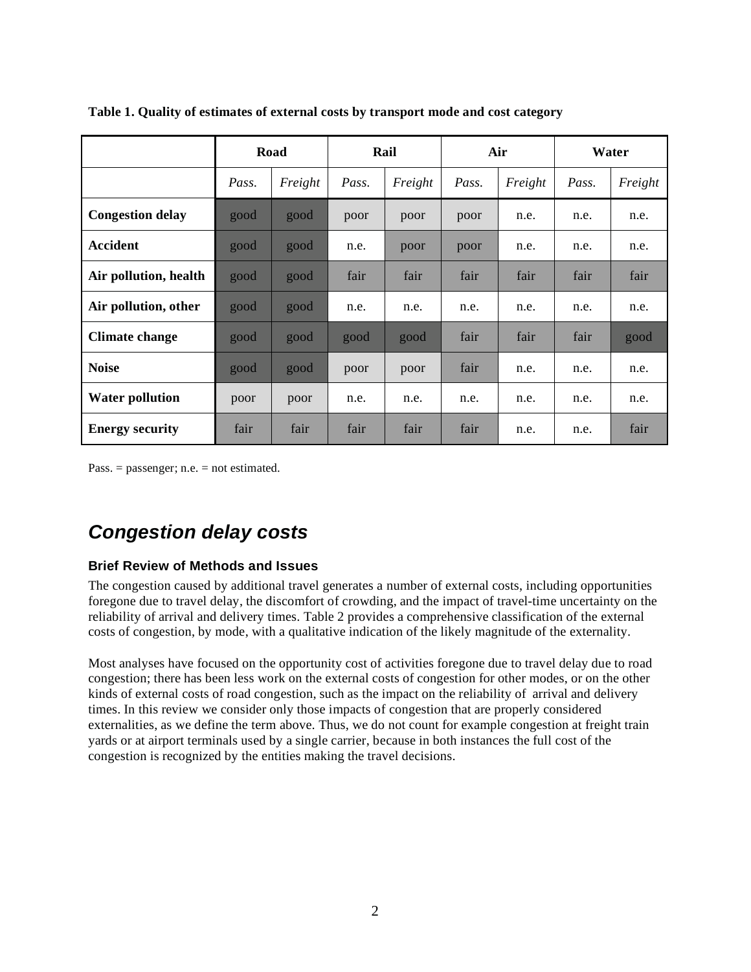|                         |       | Road    |       | Rail    | Air   |         | Water |         |
|-------------------------|-------|---------|-------|---------|-------|---------|-------|---------|
|                         | Pass. | Freight | Pass. | Freight | Pass. | Freight | Pass. | Freight |
| <b>Congestion delay</b> | good  | good    | poor  | poor    | poor  | n.e.    | n.e.  | n.e.    |
| <b>Accident</b>         | good  | good    | n.e.  | poor    | poor  | n.e.    | n.e.  | n.e.    |
| Air pollution, health   | good  | good    | fair  | fair    | fair  | fair    | fair  | fair    |
| Air pollution, other    | good  | good    | n.e.  | n.e.    | n.e.  | n.e.    | n.e.  | n.e.    |
| <b>Climate change</b>   | good  | good    | good  | good    | fair  | fair    | fair  | good    |
| <b>Noise</b>            | good  | good    | poor  | poor    | fair  | n.e.    | n.e.  | n.e.    |
| <b>Water pollution</b>  | poor  | poor    | n.e.  | n.e.    | n.e.  | n.e.    | n.e.  | n.e.    |
| <b>Energy security</b>  | fair  | fair    | fair  | fair    | fair  | n.e.    | n.e.  | fair    |

**Table 1. Quality of estimates of external costs by transport mode and cost category** 

Pass. = passenger; n.e. = not estimated.

# *Congestion delay costs*

### **Brief Review of Methods and Issues**

The congestion caused by additional travel generates a number of external costs, including opportunities foregone due to travel delay, the discomfort of crowding, and the impact of travel-time uncertainty on the reliability of arrival and delivery times. Table 2 provides a comprehensive classification of the external costs of congestion, by mode, with a qualitative indication of the likely magnitude of the externality.

Most analyses have focused on the opportunity cost of activities foregone due to travel delay due to road congestion; there has been less work on the external costs of congestion for other modes, or on the other kinds of external costs of road congestion, such as the impact on the reliability of arrival and delivery times. In this review we consider only those impacts of congestion that are properly considered externalities, as we define the term above. Thus, we do not count for example congestion at freight train yards or at airport terminals used by a single carrier, because in both instances the full cost of the congestion is recognized by the entities making the travel decisions.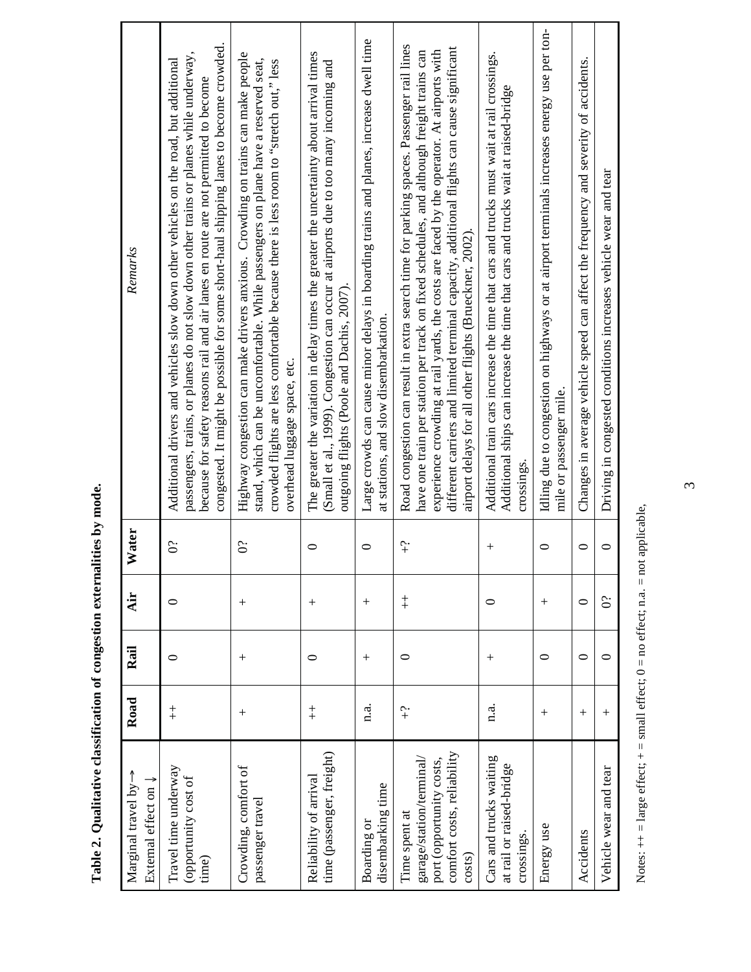| Marginal travel by $\rightarrow$<br>External effect on $\downarrow$                                              | Road       | Rail    | Air           | Water         | Remarks                                                                                                                                                                                                                                                                                                                                                                                                                                   |
|------------------------------------------------------------------------------------------------------------------|------------|---------|---------------|---------------|-------------------------------------------------------------------------------------------------------------------------------------------------------------------------------------------------------------------------------------------------------------------------------------------------------------------------------------------------------------------------------------------------------------------------------------------|
| Travel time underway<br>(opportunity cost of<br>time)                                                            | $\ddagger$ | $\circ$ | $\circ$       | $\hat{c}$     | congested. It might be possible for some short-haul shipping lanes to become crowded.<br>passengers, trains, or planes do not slow down other trains or planes while underway,<br>Additional drivers and vehicles slow down other vehicles on the road, but additional<br>because for safety reasons rail and air lanes en route are not permitted to become                                                                              |
| Crowding, comfort of<br>passenger travel                                                                         | $^{+}$     | $^{+}$  | $^{+}$        | $\mathcal{S}$ | Highway congestion can make drivers anxious. Crowding on trains can make people<br>stand, which can be uncomfortable. While passengers on plane have a reserved seat,<br>crowded flights are less comfortable because there is less room to "stretch out," less<br>overhead luggage space, etc.                                                                                                                                           |
| time (passenger, freight)<br>Reliability of arrival                                                              | $+$        | 0       | $^+$          | $\circ$       | The greater the variation in delay times the greater the uncertainty about arrival times<br>(Small et al., 1999). Congestion can occur at airports due to too many incoming and<br>outgoing flights (Poole and Dachis, 2007).                                                                                                                                                                                                             |
| disembarking time<br>Boarding or                                                                                 | n.a.       | $^{+}$  | $^{+}$        | $\circ$       | Large crowds can cause minor delays in boarding trains and planes, increase dwell time<br>at stations, and slow disembarkation.                                                                                                                                                                                                                                                                                                           |
| comfort costs, reliability<br>garage/station/terminal/<br>port (opportunity costs,<br>Time spent at<br>$\cos(s)$ | $\hat{z}$  | $\circ$ | $\ddagger$    | $\hat{z}$     | Road congestion can result in extra search time for parking spaces. Passenger rail lines<br>different carriers and limited terminal capacity, additional flights can cause significant<br>have one train per station per track on fixed schedules, and although freight trains can<br>experience crowding at rail yards, the costs are faced by the operator. At airports with<br>airport delays for all other flights (Brueckner, 2002). |
| Cars and trucks waiting<br>at rail or raised-bridge<br>crossings.                                                | n.a.       | $^+$    | 0             | $^{+}$        | Additional train cars increase the time that cars and trucks must wait at rail crossings.<br>Additional ships can increase the time that cars and trucks wait at raised-bridge<br>crossings.                                                                                                                                                                                                                                              |
| Energy use                                                                                                       | $^{+}$     | 0       | $^{+}$        | $\circ$       | Idling due to congestion on highways or at airport terminals increases energy use per ton-<br>mile or passenger mile.                                                                                                                                                                                                                                                                                                                     |
| Accidents                                                                                                        | $^{+}$     | 0       | 0             | $\circ$       | Changes in average vehicle speed can affect the frequency and severity of accidents.                                                                                                                                                                                                                                                                                                                                                      |
| Vehicle wear and tear                                                                                            | $\! +$     | 0       | $\mathcal{L}$ | $\circ$       | Driving in congested conditions increases vehicle wear and tear                                                                                                                                                                                                                                                                                                                                                                           |

Table 2. Qualitative classification of congestion externalities by mode. **Table 2. Qualitative classification of congestion externalities by mode.** 

Notes:  $++$  = large effect;  $+$  = small effect; 0 = no effect; n.a. = not applicable, Notes:  $++ = |$  arge effect;  $+ =$  small effect; 0 = no effect; n.a. = not applicable,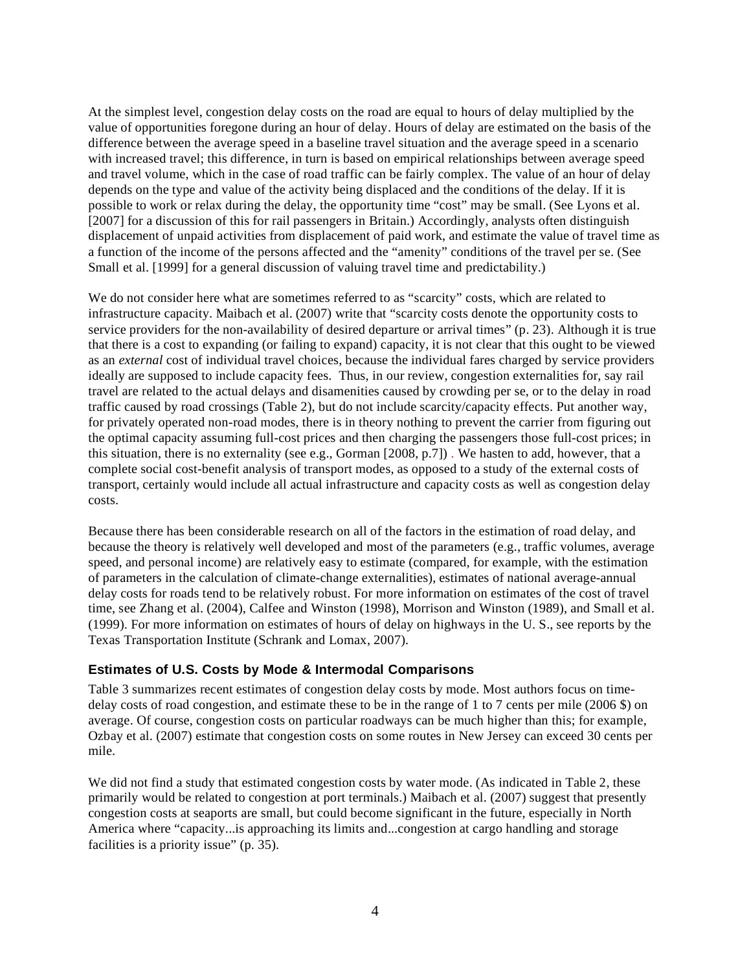At the simplest level, congestion delay costs on the road are equal to hours of delay multiplied by the value of opportunities foregone during an hour of delay. Hours of delay are estimated on the basis of the difference between the average speed in a baseline travel situation and the average speed in a scenario with increased travel; this difference, in turn is based on empirical relationships between average speed and travel volume, which in the case of road traffic can be fairly complex. The value of an hour of delay depends on the type and value of the activity being displaced and the conditions of the delay. If it is possible to work or relax during the delay, the opportunity time "cost" may be small. (See Lyons et al. [2007] for a discussion of this for rail passengers in Britain.) Accordingly, analysts often distinguish displacement of unpaid activities from displacement of paid work, and estimate the value of travel time as a function of the income of the persons affected and the "amenity" conditions of the travel per se. (See Small et al. [1999] for a general discussion of valuing travel time and predictability.)

We do not consider here what are sometimes referred to as "scarcity" costs, which are related to infrastructure capacity. Maibach et al. (2007) write that "scarcity costs denote the opportunity costs to service providers for the non-availability of desired departure or arrival times" (p. 23). Although it is true that there is a cost to expanding (or failing to expand) capacity, it is not clear that this ought to be viewed as an *external* cost of individual travel choices, because the individual fares charged by service providers ideally are supposed to include capacity fees. Thus, in our review, congestion externalities for, say rail travel are related to the actual delays and disamenities caused by crowding per se, or to the delay in road traffic caused by road crossings (Table 2), but do not include scarcity/capacity effects. Put another way, for privately operated non-road modes, there is in theory nothing to prevent the carrier from figuring out the optimal capacity assuming full-cost prices and then charging the passengers those full-cost prices; in this situation, there is no externality (see e.g., Gorman [2008, p.7]) . We hasten to add, however, that a complete social cost-benefit analysis of transport modes, as opposed to a study of the external costs of transport, certainly would include all actual infrastructure and capacity costs as well as congestion delay costs.

Because there has been considerable research on all of the factors in the estimation of road delay, and because the theory is relatively well developed and most of the parameters (e.g., traffic volumes, average speed, and personal income) are relatively easy to estimate (compared, for example, with the estimation of parameters in the calculation of climate-change externalities), estimates of national average-annual delay costs for roads tend to be relatively robust. For more information on estimates of the cost of travel time, see Zhang et al. (2004), Calfee and Winston (1998), Morrison and Winston (1989), and Small et al. (1999). For more information on estimates of hours of delay on highways in the U. S., see reports by the Texas Transportation Institute (Schrank and Lomax, 2007).

#### **Estimates of U.S. Costs by Mode & Intermodal Comparisons**

Table 3 summarizes recent estimates of congestion delay costs by mode. Most authors focus on timedelay costs of road congestion, and estimate these to be in the range of 1 to 7 cents per mile (2006 \$) on average. Of course, congestion costs on particular roadways can be much higher than this; for example, Ozbay et al. (2007) estimate that congestion costs on some routes in New Jersey can exceed 30 cents per mile.

We did not find a study that estimated congestion costs by water mode. (As indicated in Table 2, these primarily would be related to congestion at port terminals.) Maibach et al. (2007) suggest that presently congestion costs at seaports are small, but could become significant in the future, especially in North America where "capacity...is approaching its limits and...congestion at cargo handling and storage facilities is a priority issue" (p. 35).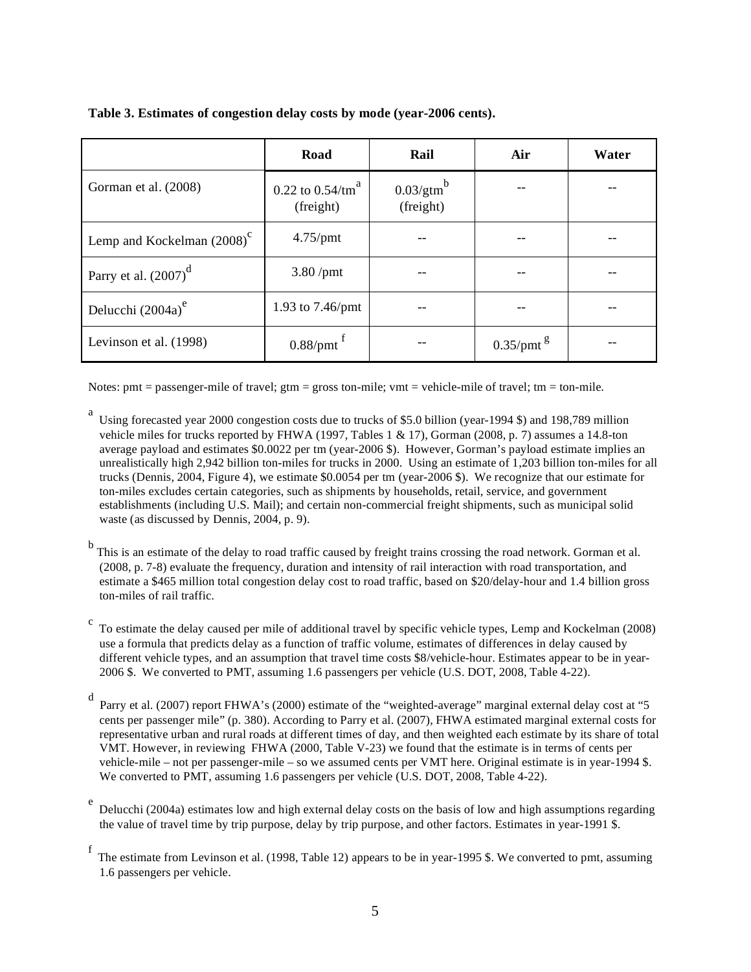|                                 | Road                                             | Rail                             | Air             | Water |
|---------------------------------|--------------------------------------------------|----------------------------------|-----------------|-------|
| Gorman et al. (2008)            | 0.22 to $0.54/\text{tm}^{\text{a}}$<br>(freight) | $0.03/\text{gtm}^b$<br>(freight) |                 |       |
| Lemp and Kockelman $(2008)^{c}$ | $4.75$ /pmt                                      |                                  |                 |       |
| Parry et al. $(2007)^d$         | $3.80$ /pmt                                      |                                  |                 |       |
| Delucchi $(2004a)^e$            | 1.93 to 7.46/pmt                                 |                                  |                 |       |
| Levinson et al. (1998)          | $0.88/$ pmt                                      |                                  | $0.35$ /pmt $g$ |       |

#### **Table 3. Estimates of congestion delay costs by mode (year-2006 cents).**

Notes: pmt = passenger-mile of travel;  $gtm =$  gross ton-mile; vmt = vehicle-mile of travel;  $tm =$  ton-mile.

- a Using forecasted year 2000 congestion costs due to trucks of \$5.0 billion (year-1994 \$) and 198,789 million vehicle miles for trucks reported by FHWA (1997, Tables 1 & 17), Gorman (2008, p. 7) assumes a 14.8-ton average payload and estimates \$0.0022 per tm (year-2006 \$). However, Gorman's payload estimate implies an unrealistically high 2,942 billion ton-miles for trucks in 2000. Using an estimate of 1,203 billion ton-miles for all trucks (Dennis, 2004, Figure 4), we estimate \$0.0054 per tm (year-2006 \$). We recognize that our estimate for ton-miles excludes certain categories, such as shipments by households, retail, service, and government establishments (including U.S. Mail); and certain non-commercial freight shipments, such as municipal solid waste (as discussed by Dennis, 2004, p. 9).
- <sup>b</sup> This is an estimate of the delay to road traffic caused by freight trains crossing the road network. Gorman et al. (2008, p. 7-8) evaluate the frequency, duration and intensity of rail interaction with road transportation, and estimate a \$465 million total congestion delay cost to road traffic, based on \$20/delay-hour and 1.4 billion gross ton-miles of rail traffic.
- c To estimate the delay caused per mile of additional travel by specific vehicle types, Lemp and Kockelman (2008) use a formula that predicts delay as a function of traffic volume, estimates of differences in delay caused by different vehicle types, and an assumption that travel time costs \$8/vehicle-hour. Estimates appear to be in year-2006 \$. We converted to PMT, assuming 1.6 passengers per vehicle (U.S. DOT, 2008, Table 4-22).
- d Parry et al. (2007) report FHWA's (2000) estimate of the "weighted-average" marginal external delay cost at "5 cents per passenger mile" (p. 380). According to Parry et al. (2007), FHWA estimated marginal external costs for representative urban and rural roads at different times of day, and then weighted each estimate by its share of total VMT. However, in reviewing FHWA (2000, Table V-23) we found that the estimate is in terms of cents per vehicle-mile – not per passenger-mile – so we assumed cents per VMT here. Original estimate is in year-1994 \$. We converted to PMT, assuming 1.6 passengers per vehicle (U.S. DOT, 2008, Table 4-22).
- e Delucchi (2004a) estimates low and high external delay costs on the basis of low and high assumptions regarding the value of travel time by trip purpose, delay by trip purpose, and other factors. Estimates in year-1991 \$.
- f<br>The estimate from Levinson et al. (1998, Table 12) appears to be in year-1995 \$. We converted to pmt, assuming 1.6 passengers per vehicle.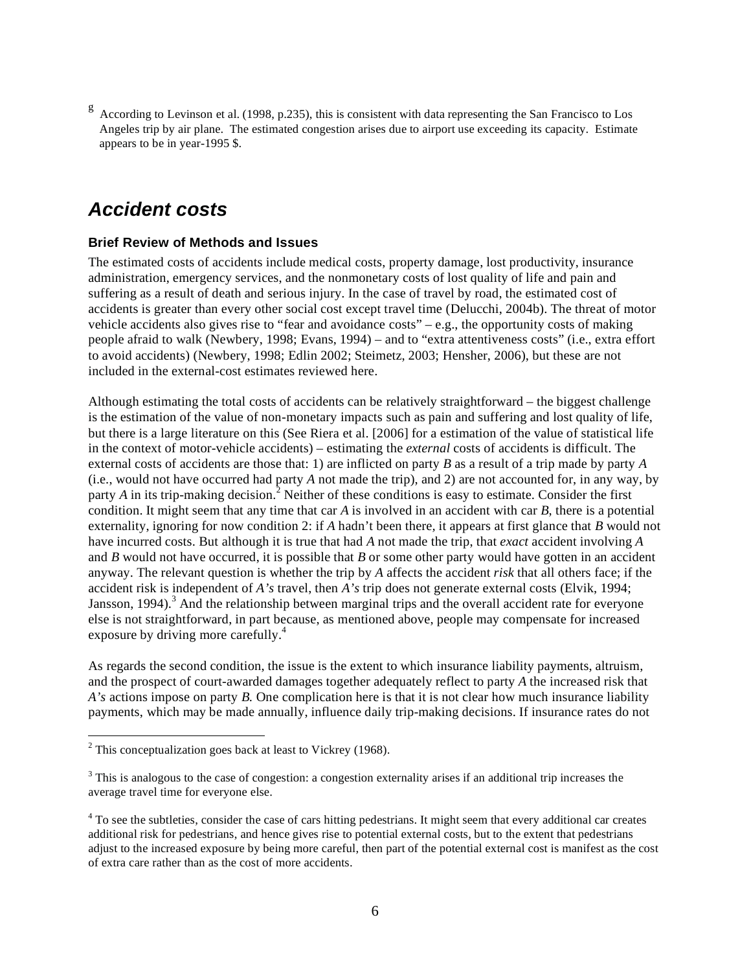g According to Levinson et al. (1998, p.235), this is consistent with data representing the San Francisco to Los Angeles trip by air plane. The estimated congestion arises due to airport use exceeding its capacity. Estimate appears to be in year-1995 \$.

## *Accident costs*

#### **Brief Review of Methods and Issues**

The estimated costs of accidents include medical costs, property damage, lost productivity, insurance administration, emergency services, and the nonmonetary costs of lost quality of life and pain and suffering as a result of death and serious injury. In the case of travel by road, the estimated cost of accidents is greater than every other social cost except travel time (Delucchi, 2004b). The threat of motor vehicle accidents also gives rise to "fear and avoidance costs" – e.g., the opportunity costs of making people afraid to walk (Newbery, 1998; Evans, 1994) – and to "extra attentiveness costs" (i.e., extra effort to avoid accidents) (Newbery, 1998; Edlin 2002; Steimetz, 2003; Hensher, 2006), but these are not included in the external-cost estimates reviewed here.

Although estimating the total costs of accidents can be relatively straightforward – the biggest challenge is the estimation of the value of non-monetary impacts such as pain and suffering and lost quality of life, but there is a large literature on this (See Riera et al. [2006] for a estimation of the value of statistical life in the context of motor-vehicle accidents) – estimating the *external* costs of accidents is difficult. The external costs of accidents are those that: 1) are inflicted on party *B* as a result of a trip made by party *A* (i.e., would not have occurred had party *A* not made the trip), and 2) are not accounted for, in any way, by party  $A$  in its trip-making decision.<sup>2</sup> Neither of these conditions is easy to estimate. Consider the first condition. It might seem that any time that car *A* is involved in an accident with car *B*, there is a potential externality, ignoring for now condition 2: if *A* hadn't been there*,* it appears at first glance that *B* would not have incurred costs. But although it is true that had *A* not made the trip, that *exact* accident involving *A* and *B* would not have occurred, it is possible that *B* or some other party would have gotten in an accident anyway. The relevant question is whether the trip by *A* affects the accident *risk* that all others face; if the accident risk is independent of *A's* travel, then *A's* trip does not generate external costs (Elvik, 1994; Jansson, 1994).<sup>3</sup> And the relationship between marginal trips and the overall accident rate for everyone else is not straightforward, in part because, as mentioned above, people may compensate for increased exposure by driving more carefully.<sup>4</sup>

As regards the second condition, the issue is the extent to which insurance liability payments, altruism, and the prospect of court-awarded damages together adequately reflect to party *A* the increased risk that *A's* actions impose on party *B.* One complication here is that it is not clear how much insurance liability payments, which may be made annually, influence daily trip-making decisions. If insurance rates do not

 $\overline{a}$ 

 $2$ <sup>2</sup> This conceptualization goes back at least to Vickrey (1968).

 $3$  This is analogous to the case of congestion: a congestion externality arises if an additional trip increases the average travel time for everyone else.

 $4$  To see the subtleties, consider the case of cars hitting pedestrians. It might seem that every additional car creates additional risk for pedestrians, and hence gives rise to potential external costs, but to the extent that pedestrians adjust to the increased exposure by being more careful, then part of the potential external cost is manifest as the cost of extra care rather than as the cost of more accidents.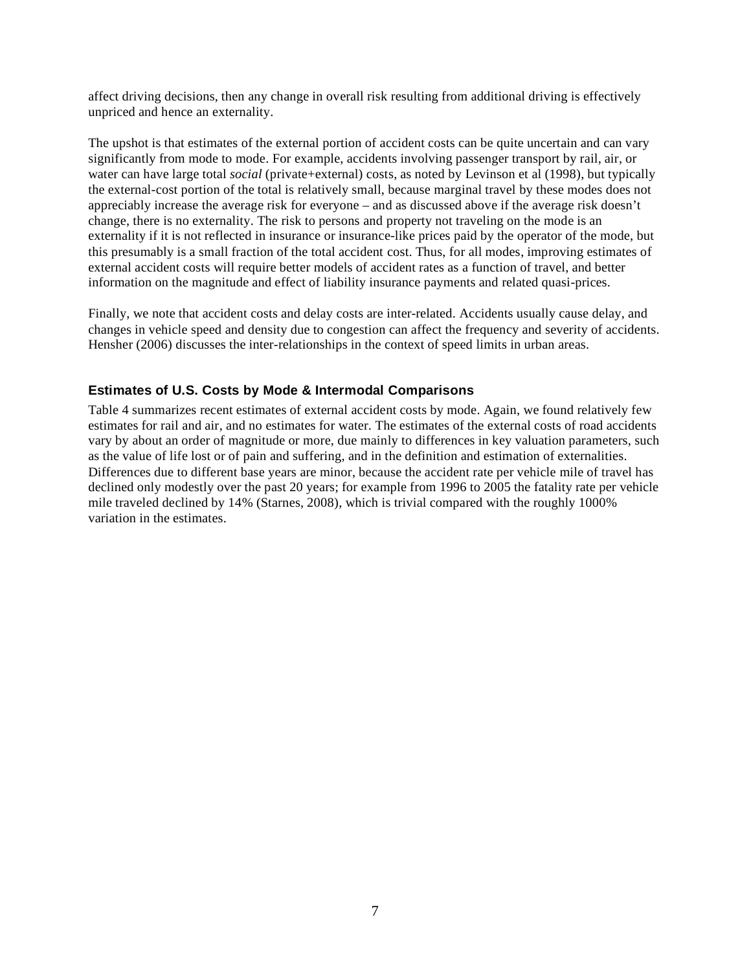affect driving decisions, then any change in overall risk resulting from additional driving is effectively unpriced and hence an externality.

The upshot is that estimates of the external portion of accident costs can be quite uncertain and can vary significantly from mode to mode. For example, accidents involving passenger transport by rail, air, or water can have large total *social* (private+external) costs, as noted by Levinson et al (1998), but typically the external-cost portion of the total is relatively small, because marginal travel by these modes does not appreciably increase the average risk for everyone – and as discussed above if the average risk doesn't change, there is no externality. The risk to persons and property not traveling on the mode is an externality if it is not reflected in insurance or insurance-like prices paid by the operator of the mode, but this presumably is a small fraction of the total accident cost. Thus, for all modes, improving estimates of external accident costs will require better models of accident rates as a function of travel, and better information on the magnitude and effect of liability insurance payments and related quasi-prices.

Finally, we note that accident costs and delay costs are inter-related. Accidents usually cause delay, and changes in vehicle speed and density due to congestion can affect the frequency and severity of accidents. Hensher (2006) discusses the inter-relationships in the context of speed limits in urban areas.

### **Estimates of U.S. Costs by Mode & Intermodal Comparisons**

Table 4 summarizes recent estimates of external accident costs by mode. Again, we found relatively few estimates for rail and air, and no estimates for water. The estimates of the external costs of road accidents vary by about an order of magnitude or more, due mainly to differences in key valuation parameters, such as the value of life lost or of pain and suffering, and in the definition and estimation of externalities. Differences due to different base years are minor, because the accident rate per vehicle mile of travel has declined only modestly over the past 20 years; for example from 1996 to 2005 the fatality rate per vehicle mile traveled declined by 14% (Starnes, 2008), which is trivial compared with the roughly 1000% variation in the estimates.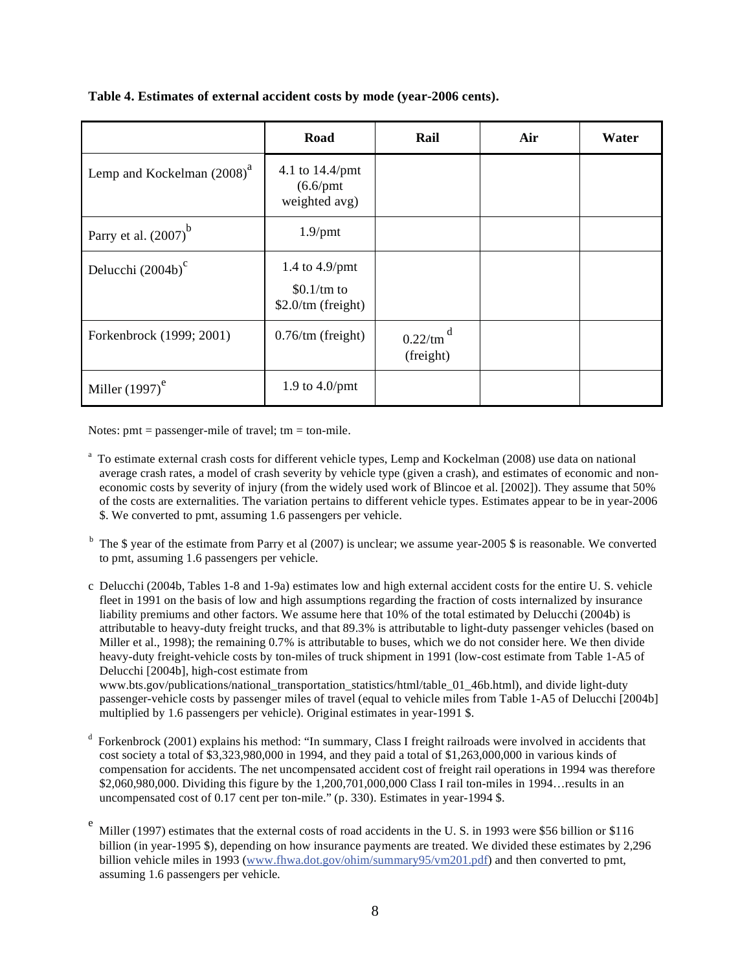|                                        | Road                                                    | Rail                            | Air | Water |
|----------------------------------------|---------------------------------------------------------|---------------------------------|-----|-------|
| Lemp and Kockelman (2008) <sup>a</sup> | 4.1 to $14.4$ /pmt<br>(6.6/pm)<br>weighted avg)         |                                 |     |       |
| Parry et al. $(2007)^{b}$              | $1.9$ /pmt                                              |                                 |     |       |
| Delucchi $(2004b)^c$                   | 1.4 to 4.9/pmt<br>$$0.1$ /tm to<br>$$2.0$ /tm (freight) |                                 |     |       |
| Forkenbrock (1999; 2001)               | $0.76$ /tm (freight)                                    | $0.22/\text{tm}^d$<br>(freight) |     |       |
| Miller $(1997)$ <sup>e</sup>           | 1.9 to $4.0$ /pmt                                       |                                 |     |       |

**Table 4. Estimates of external accident costs by mode (year-2006 cents).** 

Notes:  $pmt = passenger - mile$  of travel;  $tm = ton - mile$ .

- <sup>a</sup> To estimate external crash costs for different vehicle types, Lemp and Kockelman (2008) use data on national average crash rates, a model of crash severity by vehicle type (given a crash), and estimates of economic and noneconomic costs by severity of injury (from the widely used work of Blincoe et al. [2002]). They assume that 50% of the costs are externalities. The variation pertains to different vehicle types. Estimates appear to be in year-2006 \$. We converted to pmt, assuming 1.6 passengers per vehicle.
- <sup>b</sup> The \$ year of the estimate from Parry et al (2007) is unclear; we assume year-2005 \$ is reasonable. We converted to pmt, assuming 1.6 passengers per vehicle.
- c Delucchi (2004b, Tables 1-8 and 1-9a) estimates low and high external accident costs for the entire U. S. vehicle fleet in 1991 on the basis of low and high assumptions regarding the fraction of costs internalized by insurance liability premiums and other factors. We assume here that 10% of the total estimated by Delucchi (2004b) is attributable to heavy-duty freight trucks, and that 89.3% is attributable to light-duty passenger vehicles (based on Miller et al., 1998); the remaining 0.7% is attributable to buses, which we do not consider here. We then divide heavy-duty freight-vehicle costs by ton-miles of truck shipment in 1991 (low-cost estimate from Table 1-A5 of Delucchi [2004b], high-cost estimate from

www.bts.gov/publications/national\_transportation\_statistics/html/table\_01\_46b.html), and divide light-duty passenger-vehicle costs by passenger miles of travel (equal to vehicle miles from Table 1-A5 of Delucchi [2004b] multiplied by 1.6 passengers per vehicle). Original estimates in year-1991 \$.

- d Forkenbrock (2001) explains his method: "In summary, Class I freight railroads were involved in accidents that cost society a total of \$3,323,980,000 in 1994, and they paid a total of \$1,263,000,000 in various kinds of compensation for accidents. The net uncompensated accident cost of freight rail operations in 1994 was therefore \$2,060,980,000. Dividing this figure by the 1,200,701,000,000 Class I rail ton-miles in 1994…results in an uncompensated cost of 0.17 cent per ton-mile." (p. 330). Estimates in year-1994 \$.
- e Miller (1997) estimates that the external costs of road accidents in the U. S. in 1993 were \$56 billion or \$116 billion (in year-1995 \$), depending on how insurance payments are treated. We divided these estimates by 2,296 billion vehicle miles in 1993 (www.fhwa.dot.gov/ohim/summary95/vm201.pdf) and then converted to pmt, assuming 1.6 passengers per vehicle.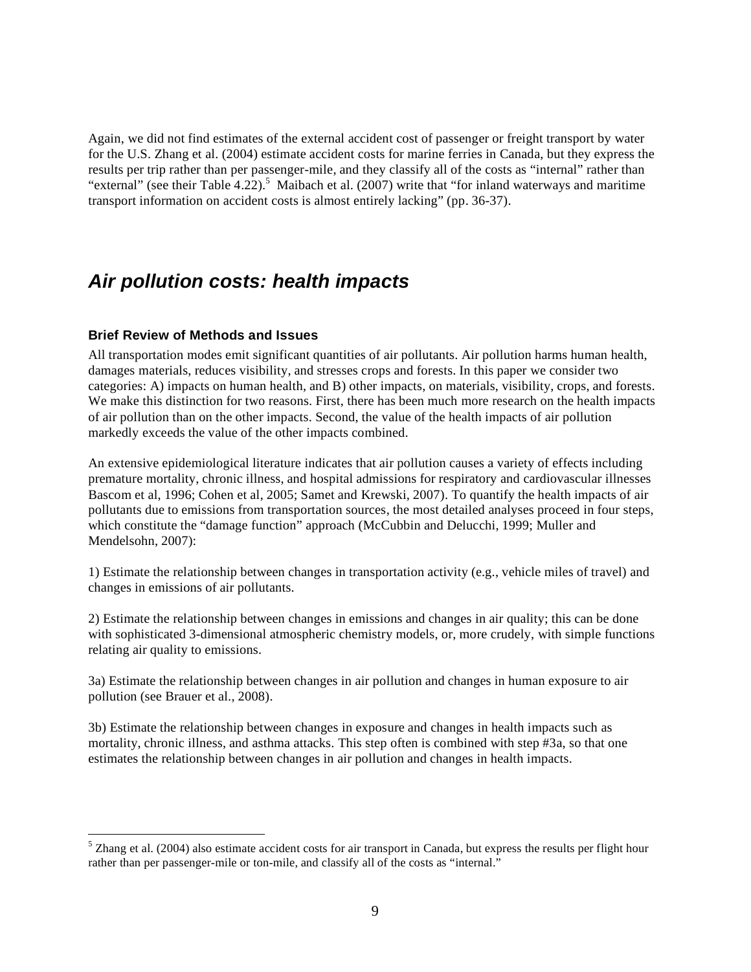Again, we did not find estimates of the external accident cost of passenger or freight transport by water for the U.S. Zhang et al. (2004) estimate accident costs for marine ferries in Canada, but they express the results per trip rather than per passenger-mile, and they classify all of the costs as "internal" rather than "external" (see their Table  $4.22$ ).<sup>5</sup> Maibach et al. (2007) write that "for inland waterways and maritime transport information on accident costs is almost entirely lacking" (pp. 36-37).

## *Air pollution costs: health impacts*

#### **Brief Review of Methods and Issues**

 $\overline{a}$ 

All transportation modes emit significant quantities of air pollutants. Air pollution harms human health, damages materials, reduces visibility, and stresses crops and forests. In this paper we consider two categories: A) impacts on human health, and B) other impacts, on materials, visibility, crops, and forests. We make this distinction for two reasons. First, there has been much more research on the health impacts of air pollution than on the other impacts. Second, the value of the health impacts of air pollution markedly exceeds the value of the other impacts combined.

An extensive epidemiological literature indicates that air pollution causes a variety of effects including premature mortality, chronic illness, and hospital admissions for respiratory and cardiovascular illnesses Bascom et al, 1996; Cohen et al, 2005; Samet and Krewski, 2007). To quantify the health impacts of air pollutants due to emissions from transportation sources, the most detailed analyses proceed in four steps, which constitute the "damage function" approach (McCubbin and Delucchi, 1999; Muller and Mendelsohn, 2007):

1) Estimate the relationship between changes in transportation activity (e.g., vehicle miles of travel) and changes in emissions of air pollutants.

2) Estimate the relationship between changes in emissions and changes in air quality; this can be done with sophisticated 3-dimensional atmospheric chemistry models, or, more crudely, with simple functions relating air quality to emissions.

3a) Estimate the relationship between changes in air pollution and changes in human exposure to air pollution (see Brauer et al., 2008).

3b) Estimate the relationship between changes in exposure and changes in health impacts such as mortality, chronic illness, and asthma attacks. This step often is combined with step #3a, so that one estimates the relationship between changes in air pollution and changes in health impacts.

 $<sup>5</sup>$  Zhang et al. (2004) also estimate accident costs for air transport in Canada, but express the results per flight hour</sup> rather than per passenger-mile or ton-mile, and classify all of the costs as "internal."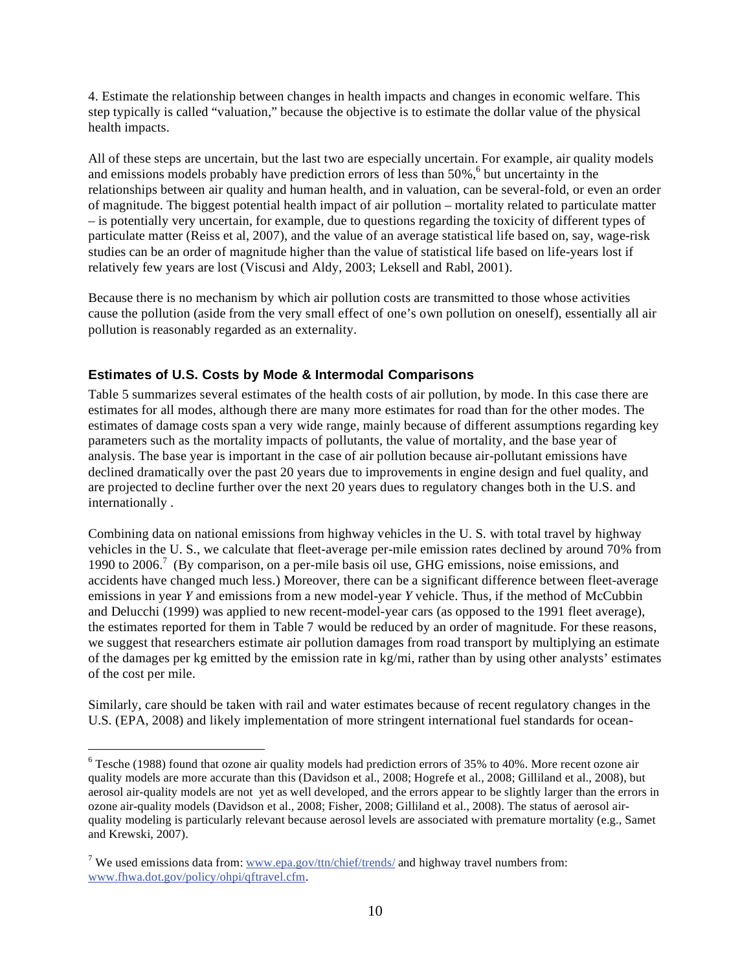4. Estimate the relationship between changes in health impacts and changes in economic welfare. This step typically is called "valuation," because the objective is to estimate the dollar value of the physical health impacts.

All of these steps are uncertain, but the last two are especially uncertain. For example, air quality models and emissions models probably have prediction errors of less than  $50\%$ , but uncertainty in the relationships between air quality and human health, and in valuation, can be several-fold, or even an order of magnitude. The biggest potential health impact of air pollution – mortality related to particulate matter – is potentially very uncertain, for example, due to questions regarding the toxicity of different types of particulate matter (Reiss et al, 2007), and the value of an average statistical life based on, say, wage-risk studies can be an order of magnitude higher than the value of statistical life based on life-years lost if relatively few years are lost (Viscusi and Aldy, 2003; Leksell and Rabl, 2001).

Because there is no mechanism by which air pollution costs are transmitted to those whose activities cause the pollution (aside from the very small effect of one's own pollution on oneself), essentially all air pollution is reasonably regarded as an externality.

### **Estimates of U.S. Costs by Mode & Intermodal Comparisons**

Table 5 summarizes several estimates of the health costs of air pollution, by mode. In this case there are estimates for all modes, although there are many more estimates for road than for the other modes. The estimates of damage costs span a very wide range, mainly because of different assumptions regarding key parameters such as the mortality impacts of pollutants, the value of mortality, and the base year of analysis. The base year is important in the case of air pollution because air-pollutant emissions have declined dramatically over the past 20 years due to improvements in engine design and fuel quality, and are projected to decline further over the next 20 years dues to regulatory changes both in the U.S. and internationally .

Combining data on national emissions from highway vehicles in the U. S. with total travel by highway vehicles in the U. S., we calculate that fleet-average per-mile emission rates declined by around 70% from 1990 to 2006.<sup>7</sup> (By comparison, on a per-mile basis oil use, GHG emissions, noise emissions, and accidents have changed much less.) Moreover, there can be a significant difference between fleet-average emissions in year *Y* and emissions from a new model-year *Y* vehicle. Thus, if the method of McCubbin and Delucchi (1999) was applied to new recent-model-year cars (as opposed to the 1991 fleet average), the estimates reported for them in Table 7 would be reduced by an order of magnitude. For these reasons, we suggest that researchers estimate air pollution damages from road transport by multiplying an estimate of the damages per kg emitted by the emission rate in  $kg/min$ , rather than by using other analysts' estimates of the cost per mile.

Similarly, care should be taken with rail and water estimates because of recent regulatory changes in the U.S. (EPA, 2008) and likely implementation of more stringent international fuel standards for ocean-

 $\overline{a}$ 

 $6$  Tesche (1988) found that ozone air quality models had prediction errors of 35% to 40%. More recent ozone air quality models are more accurate than this (Davidson et al., 2008; Hogrefe et al., 2008; Gilliland et al., 2008), but aerosol air-quality models are not yet as well developed, and the errors appear to be slightly larger than the errors in ozone air-quality models (Davidson et al., 2008; Fisher, 2008; Gilliland et al., 2008). The status of aerosol airquality modeling is particularly relevant because aerosol levels are associated with premature mortality (e.g., Samet and Krewski, 2007).

<sup>&</sup>lt;sup>7</sup> We used emissions data from:  $\frac{www.epa.gov/ttn/chief/trends/}$  and highway travel numbers from: www.fhwa.dot.gov/policy/ohpi/qftravel.cfm.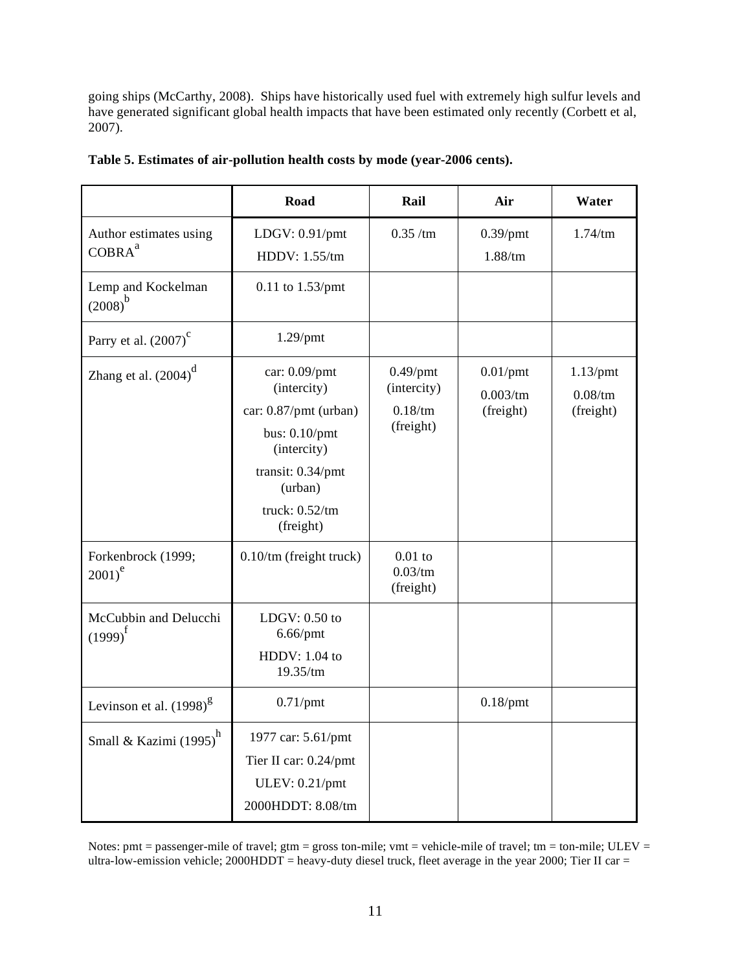going ships (McCarthy, 2008). Ships have historically used fuel with extremely high sulfur levels and have generated significant global health impacts that have been estimated only recently (Corbett et al, 2007).

|                                              | Road                                                                                                                                                       | Rail                                                  | Air                                                 | Water                                  |
|----------------------------------------------|------------------------------------------------------------------------------------------------------------------------------------------------------------|-------------------------------------------------------|-----------------------------------------------------|----------------------------------------|
| Author estimates using<br>COBRA <sup>a</sup> | LDGV: 0.91/pmt<br>HDDV: 1.55/tm                                                                                                                            | $0.35 /$ tm                                           | $0.39$ /pmt<br>$1.88$ /tm                           | $1.74$ /tm                             |
| Lemp and Kockelman<br>$(2008)^{b}$           | $0.11$ to $1.53$ /pmt                                                                                                                                      |                                                       |                                                     |                                        |
| Parry et al. $(2007)^c$                      | $1.29$ /pmt                                                                                                                                                |                                                       |                                                     |                                        |
| Zhang et al. $(2004)^d$                      | car: 0.09/pmt<br>(intercity)<br>car: 0.87/pmt (urban)<br>bus: $0.10$ /pmt<br>(intercity)<br>transit: 0.34/pmt<br>(urban)<br>truck: $0.52$ /tm<br>(freight) | $0.49$ /pmt<br>(intercity)<br>$0.18$ /tm<br>(freight) | $0.01/\text{pmt}$<br>$0.003/\text{tm}$<br>(freight) | $1.13$ /pmt<br>$0.08$ /tm<br>(freight) |
| Forkenbrock (1999;<br>$2001$ <sup>e</sup>    | $0.10$ /tm (freight truck)                                                                                                                                 | $0.01$ to<br>$0.03$ /tm<br>(freight)                  |                                                     |                                        |
| McCubbin and Delucchi<br>$(1999)^{f}$        | $LDGV: 0.50$ to<br>$6.66$ /pmt<br>HDDV: 1.04 to<br>19.35/tm                                                                                                |                                                       |                                                     |                                        |
| Levinson et al. $(1998)^{g}$                 | $0.71$ /pmt                                                                                                                                                |                                                       | $0.18$ /pmt                                         |                                        |
| Small & Kazimi $(1995)^h$                    | 1977 car: 5.61/pmt<br>Tier II car: 0.24/pmt<br>ULEV: 0.21/pmt<br>2000HDDT: 8.08/tm                                                                         |                                                       |                                                     |                                        |

#### **Table 5. Estimates of air-pollution health costs by mode (year-2006 cents).**

Notes: pmt = passenger-mile of travel; gtm = gross ton-mile; vmt = vehicle-mile of travel; tm = ton-mile; ULEV = ultra-low-emission vehicle;  $2000HDDT$  = heavy-duty diesel truck, fleet average in the year 2000; Tier II car =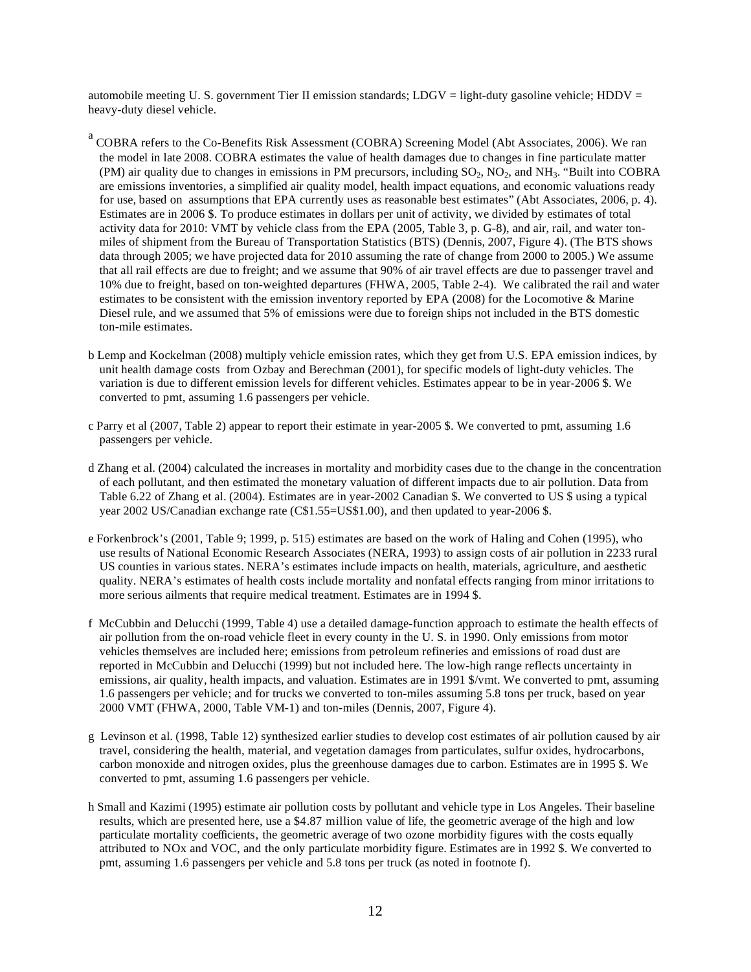automobile meeting U. S. government Tier II emission standards; LDGV = light-duty gasoline vehicle; HDDV = heavy-duty diesel vehicle.

- <sup>a</sup> COBRA refers to the Co-Benefits Risk Assessment (COBRA) Screening Model (Abt Associates, 2006). We ran the model in late 2008. COBRA estimates the value of health damages due to changes in fine particulate matter (PM) air quality due to changes in emissions in PM precursors, including  $SO_2$ ,  $NO_2$ , and NH<sub>3</sub>. "Built into COBRA are emissions inventories, a simplified air quality model, health impact equations, and economic valuations ready for use, based on assumptions that EPA currently uses as reasonable best estimates" (Abt Associates, 2006, p. 4). Estimates are in 2006 \$. To produce estimates in dollars per unit of activity, we divided by estimates of total activity data for 2010: VMT by vehicle class from the EPA (2005, Table 3, p. G-8), and air, rail, and water tonmiles of shipment from the Bureau of Transportation Statistics (BTS) (Dennis, 2007, Figure 4). (The BTS shows data through 2005; we have projected data for 2010 assuming the rate of change from 2000 to 2005.) We assume that all rail effects are due to freight; and we assume that 90% of air travel effects are due to passenger travel and 10% due to freight, based on ton-weighted departures (FHWA, 2005, Table 2-4). We calibrated the rail and water estimates to be consistent with the emission inventory reported by EPA (2008) for the Locomotive & Marine Diesel rule, and we assumed that 5% of emissions were due to foreign ships not included in the BTS domestic ton-mile estimates.
- b Lemp and Kockelman (2008) multiply vehicle emission rates, which they get from U.S. EPA emission indices, by unit health damage costs from Ozbay and Berechman (2001), for specific models of light-duty vehicles. The variation is due to different emission levels for different vehicles. Estimates appear to be in year-2006 \$. We converted to pmt, assuming 1.6 passengers per vehicle.
- c Parry et al (2007, Table 2) appear to report their estimate in year-2005 \$. We converted to pmt, assuming 1.6 passengers per vehicle.
- d Zhang et al. (2004) calculated the increases in mortality and morbidity cases due to the change in the concentration of each pollutant, and then estimated the monetary valuation of different impacts due to air pollution. Data from Table 6.22 of Zhang et al. (2004). Estimates are in year-2002 Canadian \$. We converted to US \$ using a typical year 2002 US/Canadian exchange rate (C\$1.55=US\$1.00), and then updated to year-2006 \$.
- e Forkenbrock's (2001, Table 9; 1999, p. 515) estimates are based on the work of Haling and Cohen (1995), who use results of National Economic Research Associates (NERA, 1993) to assign costs of air pollution in 2233 rural US counties in various states. NERA's estimates include impacts on health, materials, agriculture, and aesthetic quality. NERA's estimates of health costs include mortality and nonfatal effects ranging from minor irritations to more serious ailments that require medical treatment. Estimates are in 1994 \$.
- f McCubbin and Delucchi (1999, Table 4) use a detailed damage-function approach to estimate the health effects of air pollution from the on-road vehicle fleet in every county in the U. S. in 1990. Only emissions from motor vehicles themselves are included here; emissions from petroleum refineries and emissions of road dust are reported in McCubbin and Delucchi (1999) but not included here. The low-high range reflects uncertainty in emissions, air quality, health impacts, and valuation. Estimates are in 1991 \$/vmt. We converted to pmt, assuming 1.6 passengers per vehicle; and for trucks we converted to ton-miles assuming 5.8 tons per truck, based on year 2000 VMT (FHWA, 2000, Table VM-1) and ton-miles (Dennis, 2007, Figure 4).
- g Levinson et al. (1998, Table 12) synthesized earlier studies to develop cost estimates of air pollution caused by air travel, considering the health, material, and vegetation damages from particulates, sulfur oxides, hydrocarbons, carbon monoxide and nitrogen oxides, plus the greenhouse damages due to carbon. Estimates are in 1995 \$. We converted to pmt, assuming 1.6 passengers per vehicle.
- h Small and Kazimi (1995) estimate air pollution costs by pollutant and vehicle type in Los Angeles. Their baseline results, which are presented here, use a \$4.87 million value of life, the geometric average of the high and low particulate mortality coefficients, the geometric average of two ozone morbidity figures with the costs equally attributed to NOx and VOC, and the only particulate morbidity figure. Estimates are in 1992 \$. We converted to pmt, assuming 1.6 passengers per vehicle and 5.8 tons per truck (as noted in footnote f).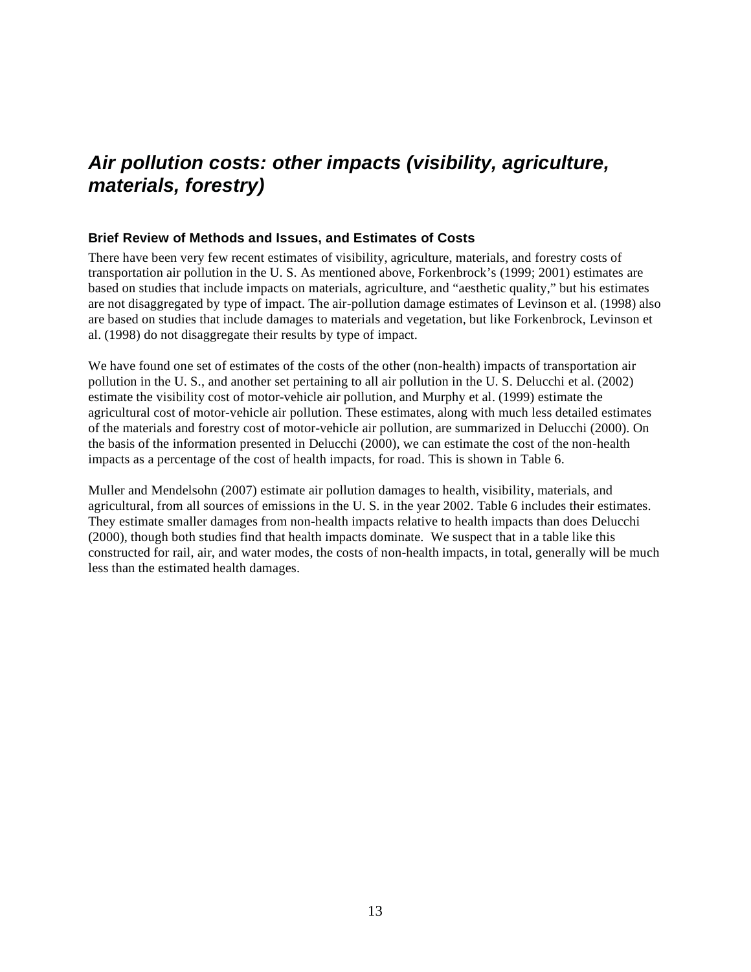# *Air pollution costs: other impacts (visibility, agriculture, materials, forestry)*

#### **Brief Review of Methods and Issues, and Estimates of Costs**

There have been very few recent estimates of visibility, agriculture, materials, and forestry costs of transportation air pollution in the U. S. As mentioned above, Forkenbrock's (1999; 2001) estimates are based on studies that include impacts on materials, agriculture, and "aesthetic quality," but his estimates are not disaggregated by type of impact. The air-pollution damage estimates of Levinson et al. (1998) also are based on studies that include damages to materials and vegetation, but like Forkenbrock, Levinson et al. (1998) do not disaggregate their results by type of impact.

We have found one set of estimates of the costs of the other (non-health) impacts of transportation air pollution in the U. S., and another set pertaining to all air pollution in the U. S. Delucchi et al. (2002) estimate the visibility cost of motor-vehicle air pollution, and Murphy et al. (1999) estimate the agricultural cost of motor-vehicle air pollution. These estimates, along with much less detailed estimates of the materials and forestry cost of motor-vehicle air pollution, are summarized in Delucchi (2000). On the basis of the information presented in Delucchi (2000), we can estimate the cost of the non-health impacts as a percentage of the cost of health impacts, for road. This is shown in Table 6.

Muller and Mendelsohn (2007) estimate air pollution damages to health, visibility, materials, and agricultural, from all sources of emissions in the U. S. in the year 2002. Table 6 includes their estimates. They estimate smaller damages from non-health impacts relative to health impacts than does Delucchi (2000), though both studies find that health impacts dominate. We suspect that in a table like this constructed for rail, air, and water modes, the costs of non-health impacts, in total, generally will be much less than the estimated health damages.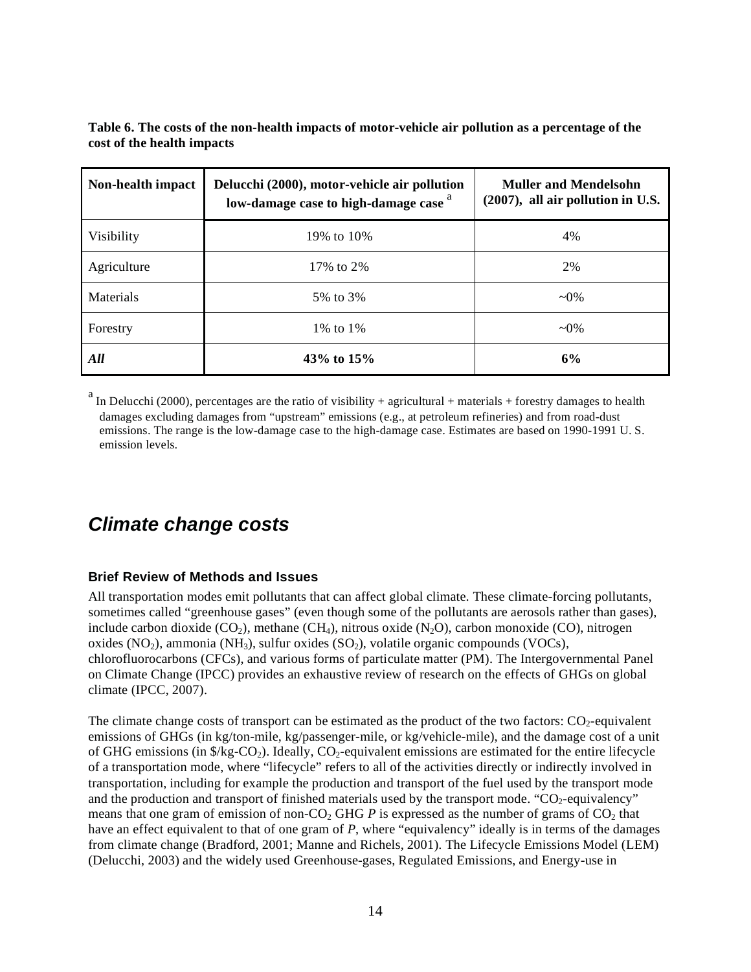**Table 6. The costs of the non-health impacts of motor-vehicle air pollution as a percentage of the cost of the health impacts** 

| Non-health impact | Delucchi (2000), motor-vehicle air pollution<br>low-damage case to high-damage case | <b>Muller and Mendelsohn</b><br>(2007), all air pollution in U.S. |
|-------------------|-------------------------------------------------------------------------------------|-------------------------------------------------------------------|
| Visibility        | 19% to 10%                                                                          | 4%                                                                |
| Agriculture       | 17% to 2%                                                                           | 2%                                                                |
| Materials         | 5% to 3%                                                                            | $\sim 0\%$                                                        |
| Forestry          | 1\% to 1\%                                                                          | $\sim 0\%$                                                        |
| All               | 43\% to $15\%$                                                                      | 6%                                                                |

 $a<sup>a</sup>$  In Delucchi (2000), percentages are the ratio of visibility + agricultural + materials + forestry damages to health damages excluding damages from "upstream" emissions (e.g., at petroleum refineries) and from road-dust emissions. The range is the low-damage case to the high-damage case. Estimates are based on 1990-1991 U. S. emission levels.

# *Climate change costs*

### **Brief Review of Methods and Issues**

All transportation modes emit pollutants that can affect global climate. These climate-forcing pollutants, sometimes called "greenhouse gases" (even though some of the pollutants are aerosols rather than gases), include carbon dioxide  $(CO_2)$ , methane  $(CH_4)$ , nitrous oxide  $(N_2O)$ , carbon monoxide  $(CO)$ , nitrogen oxides  $(NO<sub>2</sub>)$ , ammonia  $(NH<sub>3</sub>)$ , sulfur oxides  $(SO<sub>2</sub>)$ , volatile organic compounds (VOCs), chlorofluorocarbons (CFCs), and various forms of particulate matter (PM). The Intergovernmental Panel on Climate Change (IPCC) provides an exhaustive review of research on the effects of GHGs on global climate (IPCC, 2007).

The climate change costs of transport can be estimated as the product of the two factors:  $CO<sub>2</sub>$ -equivalent emissions of GHGs (in kg/ton-mile, kg/passenger-mile, or kg/vehicle-mile), and the damage cost of a unit of GHG emissions (in  $\frac{k}{g}$ -CO<sub>2</sub>). Ideally, CO<sub>2</sub>-equivalent emissions are estimated for the entire lifecycle of a transportation mode, where "lifecycle" refers to all of the activities directly or indirectly involved in transportation, including for example the production and transport of the fuel used by the transport mode and the production and transport of finished materials used by the transport mode. "CO<sub>2</sub>-equivalency" means that one gram of emission of non- $CO<sub>2</sub>$  GHG *P* is expressed as the number of grams of  $CO<sub>2</sub>$  that have an effect equivalent to that of one gram of *P*, where "equivalency" ideally is in terms of the damages from climate change (Bradford, 2001; Manne and Richels, 2001). The Lifecycle Emissions Model (LEM) (Delucchi, 2003) and the widely used Greenhouse-gases, Regulated Emissions, and Energy-use in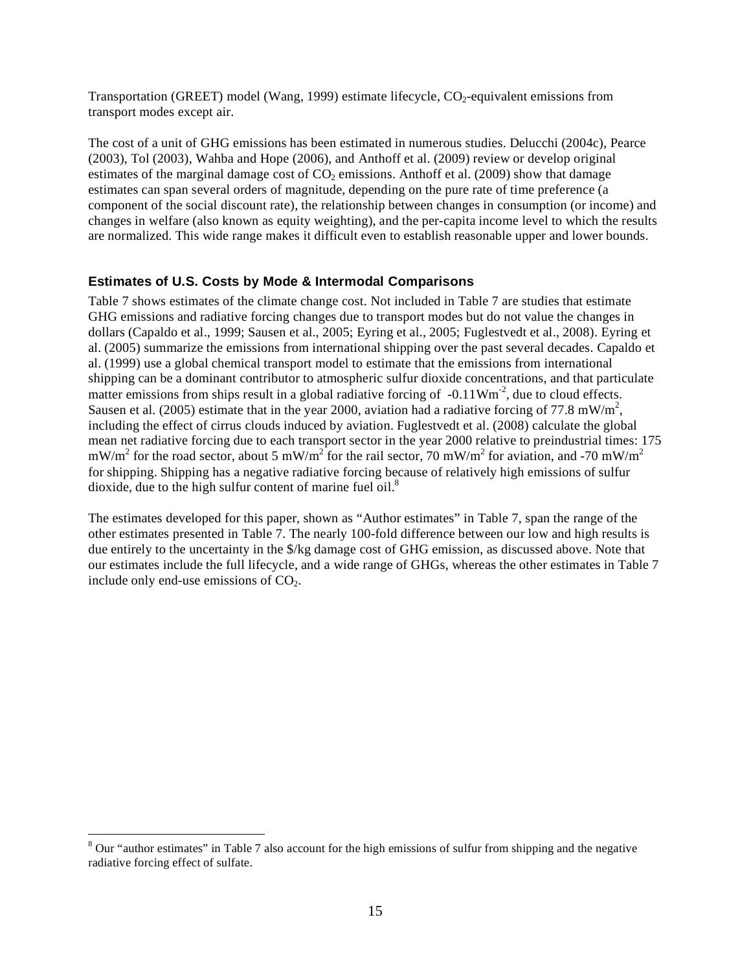Transportation (GREET) model (Wang, 1999) estimate lifecycle, CO<sub>2</sub>-equivalent emissions from transport modes except air.

The cost of a unit of GHG emissions has been estimated in numerous studies. Delucchi (2004c), Pearce (2003), Tol (2003), Wahba and Hope (2006), and Anthoff et al. (2009) review or develop original estimates of the marginal damage cost of  $CO<sub>2</sub>$  emissions. Anthoff et al. (2009) show that damage estimates can span several orders of magnitude, depending on the pure rate of time preference (a component of the social discount rate), the relationship between changes in consumption (or income) and changes in welfare (also known as equity weighting), and the per-capita income level to which the results are normalized. This wide range makes it difficult even to establish reasonable upper and lower bounds.

#### **Estimates of U.S. Costs by Mode & Intermodal Comparisons**

Table 7 shows estimates of the climate change cost. Not included in Table 7 are studies that estimate GHG emissions and radiative forcing changes due to transport modes but do not value the changes in dollars (Capaldo et al., 1999; Sausen et al., 2005; Eyring et al., 2005; Fuglestvedt et al., 2008). Eyring et al. (2005) summarize the emissions from international shipping over the past several decades. Capaldo et al. (1999) use a global chemical transport model to estimate that the emissions from international shipping can be a dominant contributor to atmospheric sulfur dioxide concentrations, and that particulate matter emissions from ships result in a global radiative forcing of -0.11Wm<sup>-2</sup>, due to cloud effects. Sausen et al. (2005) estimate that in the year 2000, aviation had a radiative forcing of 77.8 mW/m<sup>2</sup>, including the effect of cirrus clouds induced by aviation. Fuglestvedt et al. (2008) calculate the global mean net radiative forcing due to each transport sector in the year 2000 relative to preindustrial times: 175 mW/m<sup>2</sup> for the road sector, about 5 mW/m<sup>2</sup> for the rail sector, 70 mW/m<sup>2</sup> for aviation, and -70 mW/m<sup>2</sup> for shipping. Shipping has a negative radiative forcing because of relatively high emissions of sulfur dioxide, due to the high sulfur content of marine fuel oil. $8$ 

The estimates developed for this paper, shown as "Author estimates" in Table 7, span the range of the other estimates presented in Table 7. The nearly 100-fold difference between our low and high results is due entirely to the uncertainty in the \$/kg damage cost of GHG emission, as discussed above. Note that our estimates include the full lifecycle, and a wide range of GHGs, whereas the other estimates in Table 7 include only end-use emissions of  $CO<sub>2</sub>$ .

 $\overline{a}$ 

 $8$  Our "author estimates" in Table 7 also account for the high emissions of sulfur from shipping and the negative radiative forcing effect of sulfate.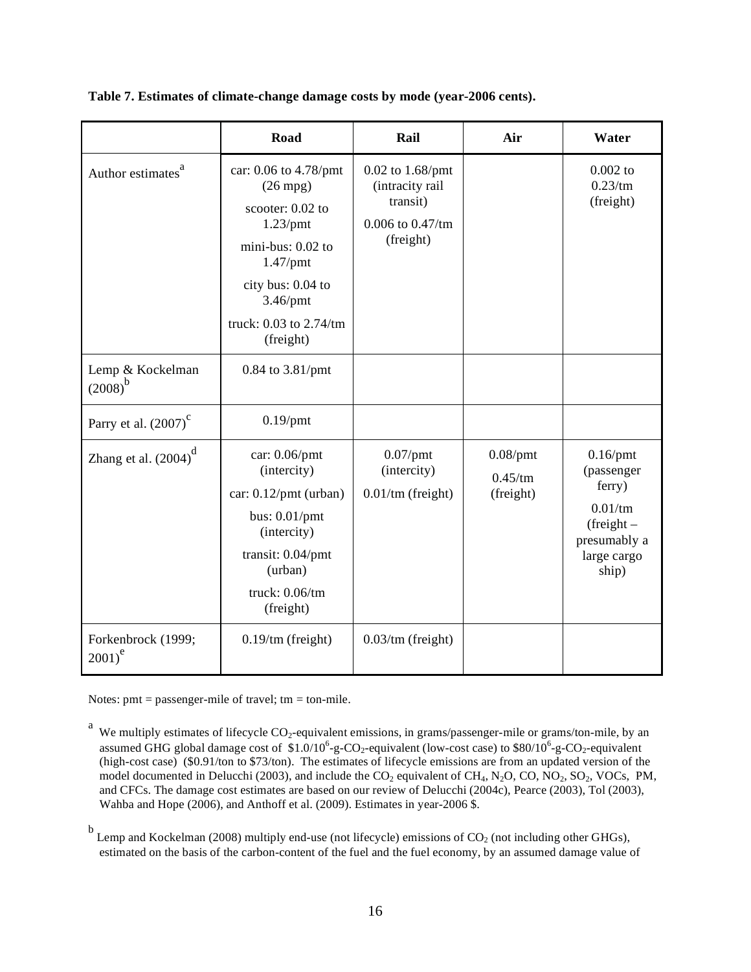|                                           | Road                                                                                                                                                                                | Rail                                                                                  | Air                                    | Water                                                                                                           |
|-------------------------------------------|-------------------------------------------------------------------------------------------------------------------------------------------------------------------------------------|---------------------------------------------------------------------------------------|----------------------------------------|-----------------------------------------------------------------------------------------------------------------|
| Author estimates <sup>a</sup>             | car: 0.06 to 4.78/pmt<br>$(26$ mpg)<br>scooter: $0.02$ to<br>$1.23$ /pmt<br>mini-bus: $0.02$ to<br>1.47/pmt<br>city bus: 0.04 to<br>3.46/pmt<br>truck: 0.03 to 2.74/tm<br>(freight) | $0.02$ to $1.68$ /pmt<br>(intracity rail<br>transit)<br>0.006 to 0.47/tm<br>(freight) |                                        | $0.002$ to<br>$0.23$ /tm<br>(freight)                                                                           |
| Lemp & Kockelman<br>$(2008)^{b}$          | 0.84 to 3.81/pmt                                                                                                                                                                    |                                                                                       |                                        |                                                                                                                 |
| Parry et al. $(2007)^c$                   | $0.19$ /pmt                                                                                                                                                                         |                                                                                       |                                        |                                                                                                                 |
| Zhang et al. $(2004)^d$                   | car: $0.06$ /pmt<br>(intercity)<br>car: $0.12$ /pmt (urban)<br>bus: $0.01/\text{pmt}$<br>(intercity)<br>transit: 0.04/pmt<br>(urban)<br>truck: 0.06/tm<br>(freight)                 | $0.07$ /pmt<br>(intercity)<br>$0.01$ /tm (freight)                                    | $0.08$ /pmt<br>$0.45$ /tm<br>(freight) | $0.16$ /pmt<br>(passenger<br>ferry)<br>$0.01/\text{tm}$<br>$(freight -$<br>presumably a<br>large cargo<br>ship) |
| Forkenbrock (1999;<br>$2001$ <sup>e</sup> | $0.19$ /tm (freight)                                                                                                                                                                | $0.03$ /tm (freight)                                                                  |                                        |                                                                                                                 |

**Table 7. Estimates of climate-change damage costs by mode (year-2006 cents).** 

Notes:  $pmt = passenger -mile$  of travel;  $tm = ton -mile$ .

<sup>&</sup>lt;sup>a</sup> We multiply estimates of lifecycle CO<sub>2</sub>-equivalent emissions, in grams/passenger-mile or grams/ton-mile, by an assumed GHG global damage cost of  $$1.0/10^6$ -g-CO<sub>2</sub>-equivalent (low-cost case) to  $$80/10^6$ -g-CO<sub>2</sub>-equivalent (high-cost case) (\$0.91/ton to \$73/ton). The estimates of lifecycle emissions are from an updated version of the model documented in Delucchi (2003), and include the  $CO_2$  equivalent of  $CH_4$ ,  $N_2O$ ,  $CO$ ,  $NO_2$ ,  $SO_2$ ,  $VOCs$ ,  $PM$ , and CFCs. The damage cost estimates are based on our review of Delucchi (2004c), Pearce (2003), Tol (2003), Wahba and Hope (2006), and Anthoff et al. (2009). Estimates in year-2006 \$.

 $<sup>b</sup>$  Lemp and Kockelman (2008) multiply end-use (not lifecycle) emissions of CO<sub>2</sub> (not including other GHGs),</sup> estimated on the basis of the carbon-content of the fuel and the fuel economy, by an assumed damage value of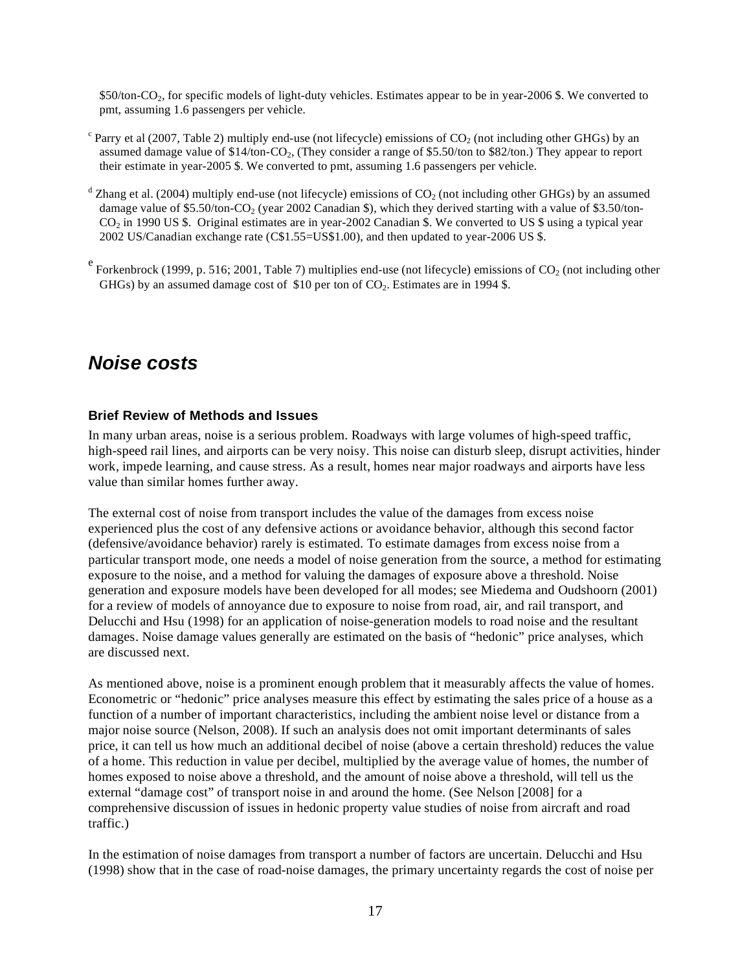\$50/ton-CO2, for specific models of light-duty vehicles. Estimates appear to be in year-2006 \$. We converted to pmt, assuming 1.6 passengers per vehicle.

- $c$  Parry et al (2007, Table 2) multiply end-use (not lifecycle) emissions of  $CO_2$  (not including other GHGs) by an assumed damage value of  $$14/ton-CO<sub>2</sub>$ , (They consider a range of  $$5.50/ton$  to  $$82/ton$ ). They appear to report their estimate in year-2005 \$. We converted to pmt, assuming 1.6 passengers per vehicle.
- $^d$  Zhang et al. (2004) multiply end-use (not lifecycle) emissions of  $CO_2$  (not including other GHGs) by an assumed damage value of  $$5.50/ton-CO<sub>2</sub>$  (year 2002 Canadian \$), which they derived starting with a value of \$3.50/ton-CO2 in 1990 US \$. Original estimates are in year-2002 Canadian \$. We converted to US \$ using a typical year 2002 US/Canadian exchange rate (C\$1.55=US\$1.00), and then updated to year-2006 US \$.
- $e^{\text{e}}$  Forkenbrock (1999, p. 516; 2001, Table 7) multiplies end-use (not lifecycle) emissions of CO<sub>2</sub> (not including other GHGs) by an assumed damage cost of  $$10$  per ton of CO<sub>2</sub>. Estimates are in 1994 \$.

## *Noise costs*

#### **Brief Review of Methods and Issues**

In many urban areas, noise is a serious problem. Roadways with large volumes of high-speed traffic, high-speed rail lines, and airports can be very noisy. This noise can disturb sleep, disrupt activities, hinder work, impede learning, and cause stress. As a result, homes near major roadways and airports have less value than similar homes further away.

The external cost of noise from transport includes the value of the damages from excess noise experienced plus the cost of any defensive actions or avoidance behavior, although this second factor (defensive/avoidance behavior) rarely is estimated. To estimate damages from excess noise from a particular transport mode, one needs a model of noise generation from the source, a method for estimating exposure to the noise, and a method for valuing the damages of exposure above a threshold. Noise generation and exposure models have been developed for all modes; see Miedema and Oudshoorn (2001) for a review of models of annoyance due to exposure to noise from road, air, and rail transport, and Delucchi and Hsu (1998) for an application of noise-generation models to road noise and the resultant damages. Noise damage values generally are estimated on the basis of "hedonic" price analyses, which are discussed next.

As mentioned above, noise is a prominent enough problem that it measurably affects the value of homes. Econometric or "hedonic" price analyses measure this effect by estimating the sales price of a house as a function of a number of important characteristics, including the ambient noise level or distance from a major noise source (Nelson, 2008). If such an analysis does not omit important determinants of sales price, it can tell us how much an additional decibel of noise (above a certain threshold) reduces the value of a home. This reduction in value per decibel, multiplied by the average value of homes, the number of homes exposed to noise above a threshold, and the amount of noise above a threshold, will tell us the external "damage cost" of transport noise in and around the home. (See Nelson [2008] for a comprehensive discussion of issues in hedonic property value studies of noise from aircraft and road traffic.)

In the estimation of noise damages from transport a number of factors are uncertain. Delucchi and Hsu (1998) show that in the case of road-noise damages, the primary uncertainty regards the cost of noise per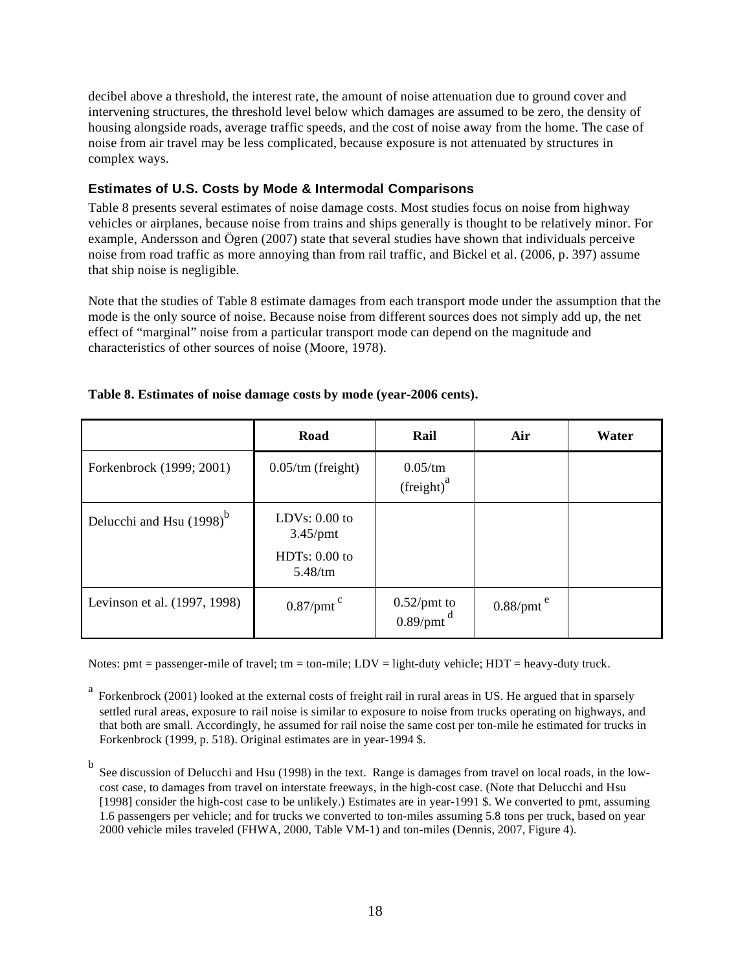decibel above a threshold, the interest rate, the amount of noise attenuation due to ground cover and intervening structures, the threshold level below which damages are assumed to be zero, the density of housing alongside roads, average traffic speeds, and the cost of noise away from the home. The case of noise from air travel may be less complicated, because exposure is not attenuated by structures in complex ways.

### **Estimates of U.S. Costs by Mode & Intermodal Comparisons**

Table 8 presents several estimates of noise damage costs. Most studies focus on noise from highway vehicles or airplanes, because noise from trains and ships generally is thought to be relatively minor. For example, Andersson and Ögren (2007) state that several studies have shown that individuals perceive noise from road traffic as more annoying than from rail traffic, and Bickel et al. (2006, p. 397) assume that ship noise is negligible.

Note that the studies of Table 8 estimate damages from each transport mode under the assumption that the mode is the only source of noise. Because noise from different sources does not simply add up, the net effect of "marginal" noise from a particular transport mode can depend on the magnitude and characteristics of other sources of noise (Moore, 1978).

|                                      | Road                                                          | Rail                                 | Air                            | Water |
|--------------------------------------|---------------------------------------------------------------|--------------------------------------|--------------------------------|-------|
| Forkenbrock (1999; 2001)             | $0.05$ /tm (freight)                                          | $0.05$ /tm<br>(freight) <sup>a</sup> |                                |       |
| Delucchi and Hsu (1998) <sup>b</sup> | LDVs: $0.00$ to<br>$3.45$ /pmt<br>HDTs: 0.00 to<br>$5.48$ /tm |                                      |                                |       |
| Levinson et al. (1997, 1998)         | $0.87/$ pmt $\degree$                                         | $0.52$ /pmt to<br>$0.89$ /pmt $^d$   | $0.88/\text{pmt}$ <sup>e</sup> |       |

|  |  |  | Table 8. Estimates of noise damage costs by mode (year-2006 cents). |  |
|--|--|--|---------------------------------------------------------------------|--|
|  |  |  |                                                                     |  |

Notes: pmt = passenger-mile of travel; tm = ton-mile;  $LDV = light-duty$  vehicle;  $HDT = heavy-duty$  truck.

<sup>a</sup> Forkenbrock (2001) looked at the external costs of freight rail in rural areas in US. He argued that in sparsely settled rural areas, exposure to rail noise is similar to exposure to noise from trucks operating on highways, and that both are small. Accordingly, he assumed for rail noise the same cost per ton-mile he estimated for trucks in Forkenbrock (1999, p. 518). Original estimates are in year-1994 \$.

b See discussion of Delucchi and Hsu (1998) in the text. Range is damages from travel on local roads, in the lowcost case, to damages from travel on interstate freeways, in the high-cost case. (Note that Delucchi and Hsu [1998] consider the high-cost case to be unlikely.) Estimates are in year-1991 \$. We converted to pmt, assuming 1.6 passengers per vehicle; and for trucks we converted to ton-miles assuming 5.8 tons per truck, based on year 2000 vehicle miles traveled (FHWA, 2000, Table VM-1) and ton-miles (Dennis, 2007, Figure 4).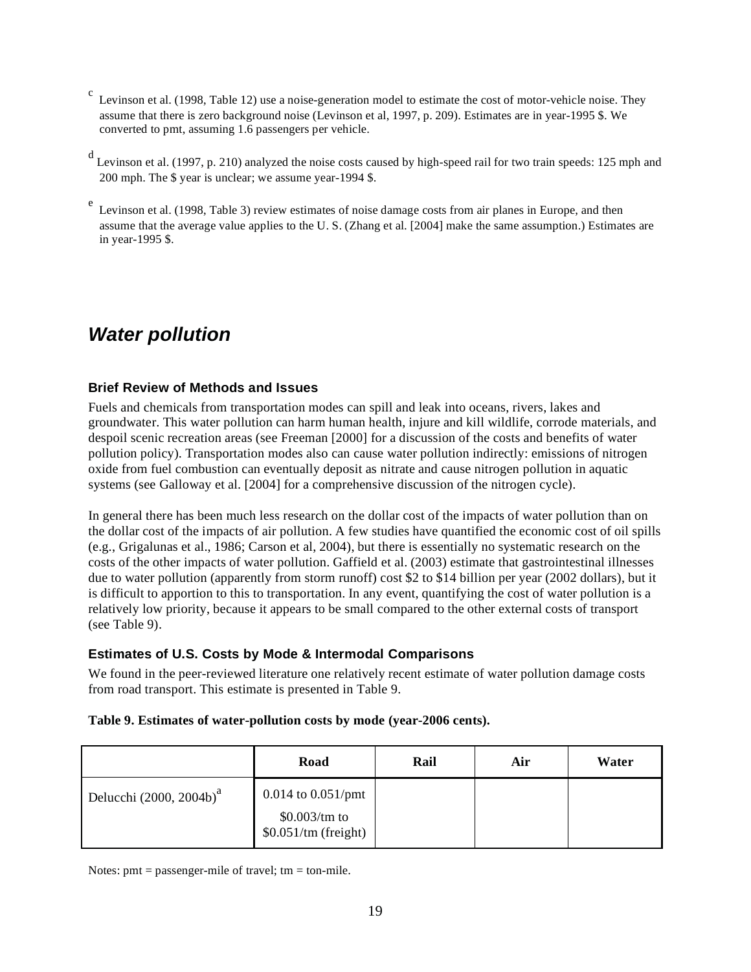- c Levinson et al. (1998, Table 12) use a noise-generation model to estimate the cost of motor-vehicle noise. They assume that there is zero background noise (Levinson et al, 1997, p. 209). Estimates are in year-1995 \$. We converted to pmt, assuming 1.6 passengers per vehicle.
- <sup>d</sup> Levinson et al. (1997, p. 210) analyzed the noise costs caused by high-speed rail for two train speeds: 125 mph and 200 mph. The \$ year is unclear; we assume year-1994 \$.
- e Levinson et al. (1998, Table 3) review estimates of noise damage costs from air planes in Europe, and then assume that the average value applies to the U. S. (Zhang et al. [2004] make the same assumption.) Estimates are in year-1995 \$.

# *Water pollution*

#### **Brief Review of Methods and Issues**

Fuels and chemicals from transportation modes can spill and leak into oceans, rivers, lakes and groundwater. This water pollution can harm human health, injure and kill wildlife, corrode materials, and despoil scenic recreation areas (see Freeman [2000] for a discussion of the costs and benefits of water pollution policy). Transportation modes also can cause water pollution indirectly: emissions of nitrogen oxide from fuel combustion can eventually deposit as nitrate and cause nitrogen pollution in aquatic systems (see Galloway et al. [2004] for a comprehensive discussion of the nitrogen cycle).

In general there has been much less research on the dollar cost of the impacts of water pollution than on the dollar cost of the impacts of air pollution. A few studies have quantified the economic cost of oil spills (e.g., Grigalunas et al., 1986; Carson et al, 2004), but there is essentially no systematic research on the costs of the other impacts of water pollution. Gaffield et al. (2003) estimate that gastrointestinal illnesses due to water pollution (apparently from storm runoff) cost \$2 to \$14 billion per year (2002 dollars), but it is difficult to apportion to this to transportation. In any event, quantifying the cost of water pollution is a relatively low priority, because it appears to be small compared to the other external costs of transport (see Table 9).

### **Estimates of U.S. Costs by Mode & Intermodal Comparisons**

We found in the peer-reviewed literature one relatively recent estimate of water pollution damage costs from road transport. This estimate is presented in Table 9.

#### **Table 9. Estimates of water-pollution costs by mode (year-2006 cents).**

|                                     | Road                                                                 | Rail | Air | Water |
|-------------------------------------|----------------------------------------------------------------------|------|-----|-------|
| Delucchi (2000, 2004b) <sup>a</sup> | $0.014$ to $0.051$ /pmt<br>$$0.003$ /tm to<br>$$0.051$ /tm (freight) |      |     |       |

Notes:  $pmt = passenger -mile$  of travel;  $tm = ton - mile$ .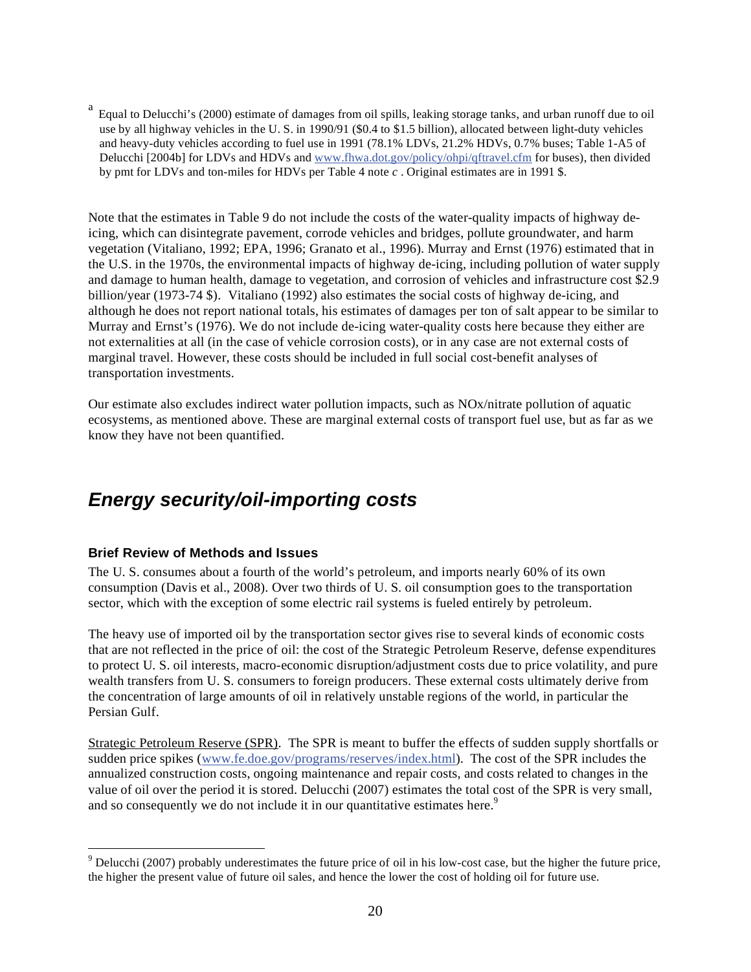Equal to Delucchi's (2000) estimate of damages from oil spills, leaking storage tanks, and urban runoff due to oil use by all highway vehicles in the U. S. in 1990/91 (\$0.4 to \$1.5 billion), allocated between light-duty vehicles and heavy-duty vehicles according to fuel use in 1991 (78.1% LDVs, 21.2% HDVs, 0.7% buses; Table 1-A5 of Delucchi [2004b] for LDVs and HDVs and www.fhwa.dot.gov/policy/ohpi/qftravel.cfm for buses), then divided by pmt for LDVs and ton-miles for HDVs per Table 4 note *c* . Original estimates are in 1991 \$.

Note that the estimates in Table 9 do not include the costs of the water-quality impacts of highway deicing, which can disintegrate pavement, corrode vehicles and bridges, pollute groundwater, and harm vegetation (Vitaliano, 1992; EPA, 1996; Granato et al., 1996). Murray and Ernst (1976) estimated that in the U.S. in the 1970s, the environmental impacts of highway de-icing, including pollution of water supply and damage to human health, damage to vegetation, and corrosion of vehicles and infrastructure cost \$2.9 billion/year (1973-74 \$). Vitaliano (1992) also estimates the social costs of highway de-icing, and although he does not report national totals, his estimates of damages per ton of salt appear to be similar to Murray and Ernst's (1976). We do not include de-icing water-quality costs here because they either are not externalities at all (in the case of vehicle corrosion costs), or in any case are not external costs of marginal travel. However, these costs should be included in full social cost-benefit analyses of transportation investments.

Our estimate also excludes indirect water pollution impacts, such as NOx/nitrate pollution of aquatic ecosystems, as mentioned above. These are marginal external costs of transport fuel use, but as far as we know they have not been quantified.

# *Energy security/oil-importing costs*

### **Brief Review of Methods and Issues**

The U. S. consumes about a fourth of the world's petroleum, and imports nearly 60% of its own consumption (Davis et al., 2008). Over two thirds of U. S. oil consumption goes to the transportation sector, which with the exception of some electric rail systems is fueled entirely by petroleum.

The heavy use of imported oil by the transportation sector gives rise to several kinds of economic costs that are not reflected in the price of oil: the cost of the Strategic Petroleum Reserve, defense expenditures to protect U. S. oil interests, macro-economic disruption/adjustment costs due to price volatility, and pure wealth transfers from U. S. consumers to foreign producers. These external costs ultimately derive from the concentration of large amounts of oil in relatively unstable regions of the world, in particular the Persian Gulf.

Strategic Petroleum Reserve (SPR). The SPR is meant to buffer the effects of sudden supply shortfalls or sudden price spikes (www.fe.doe.gov/programs/reserves/index.html). The cost of the SPR includes the annualized construction costs, ongoing maintenance and repair costs, and costs related to changes in the value of oil over the period it is stored. Delucchi (2007) estimates the total cost of the SPR is very small, and so consequently we do not include it in our quantitative estimates here.<sup>9</sup>

<sup>&</sup>lt;sup>9</sup> Delucchi (2007) probably underestimates the future price of oil in his low-cost case, but the higher the future price, the higher the present value of future oil sales, and hence the lower the cost of holding oil for future use.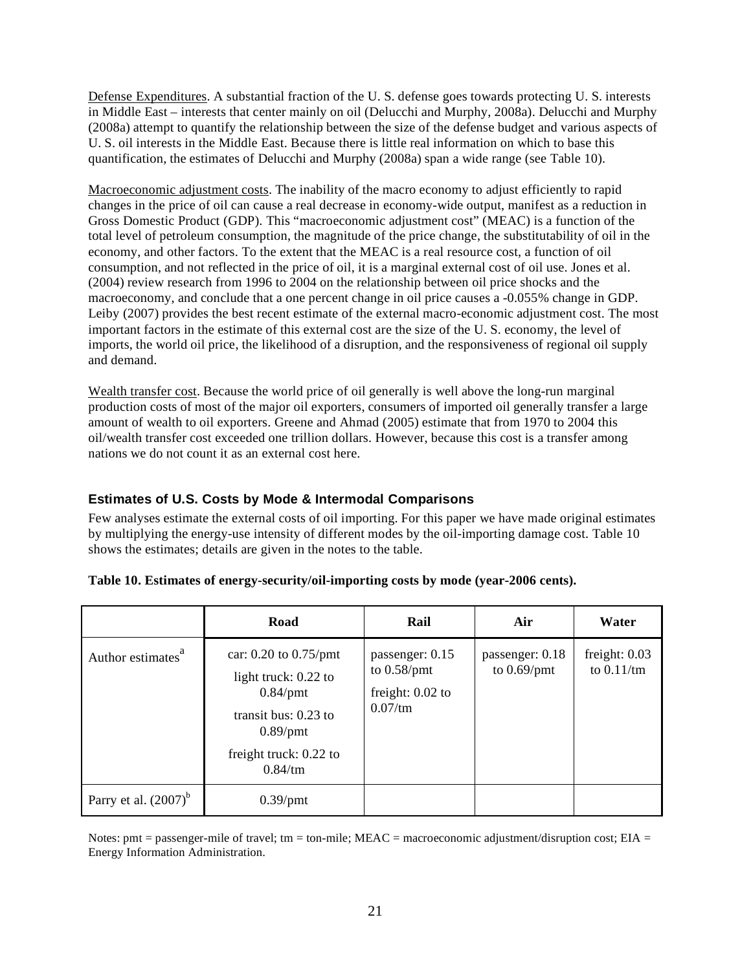Defense Expenditures. A substantial fraction of the U. S. defense goes towards protecting U. S. interests in Middle East – interests that center mainly on oil (Delucchi and Murphy, 2008a). Delucchi and Murphy (2008a) attempt to quantify the relationship between the size of the defense budget and various aspects of U. S. oil interests in the Middle East. Because there is little real information on which to base this quantification, the estimates of Delucchi and Murphy (2008a) span a wide range (see Table 10).

Macroeconomic adjustment costs. The inability of the macro economy to adjust efficiently to rapid changes in the price of oil can cause a real decrease in economy-wide output, manifest as a reduction in Gross Domestic Product (GDP). This "macroeconomic adjustment cost" (MEAC) is a function of the total level of petroleum consumption, the magnitude of the price change, the substitutability of oil in the economy, and other factors. To the extent that the MEAC is a real resource cost, a function of oil consumption, and not reflected in the price of oil, it is a marginal external cost of oil use. Jones et al. (2004) review research from 1996 to 2004 on the relationship between oil price shocks and the macroeconomy, and conclude that a one percent change in oil price causes a -0.055% change in GDP. Leiby (2007) provides the best recent estimate of the external macro-economic adjustment cost. The most important factors in the estimate of this external cost are the size of the U. S. economy, the level of imports, the world oil price, the likelihood of a disruption, and the responsiveness of regional oil supply and demand.

Wealth transfer cost. Because the world price of oil generally is well above the long-run marginal production costs of most of the major oil exporters, consumers of imported oil generally transfer a large amount of wealth to oil exporters. Greene and Ahmad (2005) estimate that from 1970 to 2004 this oil/wealth transfer cost exceeded one trillion dollars. However, because this cost is a transfer among nations we do not count it as an external cost here.

### **Estimates of U.S. Costs by Mode & Intermodal Comparisons**

Few analyses estimate the external costs of oil importing. For this paper we have made original estimates by multiplying the energy-use intensity of different modes by the oil-importing damage cost. Table 10 shows the estimates; details are given in the notes to the table.

|                               | Road                                                                                                                                               | Rail                                                                  | Air                               | Water                            |
|-------------------------------|----------------------------------------------------------------------------------------------------------------------------------------------------|-----------------------------------------------------------------------|-----------------------------------|----------------------------------|
| Author estimates <sup>a</sup> | car: $0.20$ to $0.75$ /pmt<br>light truck: 0.22 to<br>$0.84$ /pmt<br>transit bus: $0.23$ to<br>$0.89$ /pmt<br>freight truck: 0.22 to<br>$0.84$ /tm | passenger: 0.15<br>to $0.58$ /pmt<br>freight: $0.02$ to<br>$0.07$ /tm | passenger: 0.18<br>to $0.69$ /pmt | freight: $0.03$<br>to $0.11$ /tm |
| Parry et al. $(2007)^b$       | $0.39$ /pmt                                                                                                                                        |                                                                       |                                   |                                  |

#### **Table 10. Estimates of energy-security/oil-importing costs by mode (year-2006 cents).**

Notes: pmt = passenger-mile of travel; tm = ton-mile; MEAC = macroeconomic adjustment/disruption cost; EIA = Energy Information Administration.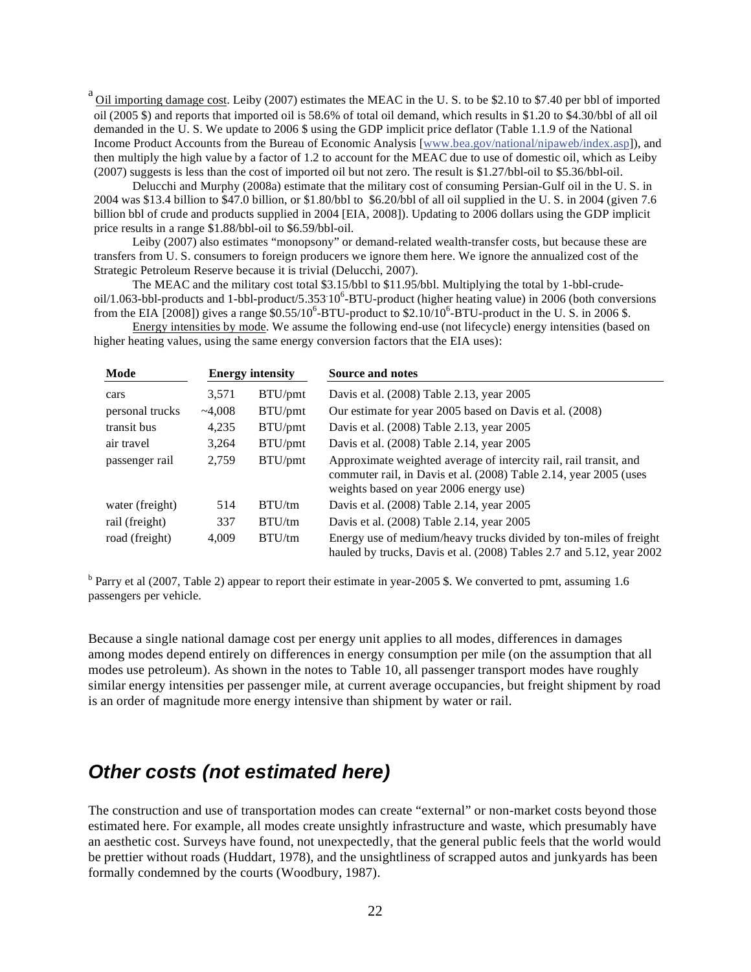$^{\circ}$  Oil importing damage cost. Leiby (2007) estimates the MEAC in the U.S. to be \$2.10 to \$7.40 per bbl of imported oil (2005 \$) and reports that imported oil is 58.6% of total oil demand, which results in \$1.20 to \$4.30/bbl of all oil demanded in the U. S. We update to 2006 \$ using the GDP implicit price deflator (Table 1.1.9 of the National Income Product Accounts from the Bureau of Economic Analysis [www.bea.gov/national/nipaweb/index.asp]), and then multiply the high value by a factor of 1.2 to account for the MEAC due to use of domestic oil, which as Leiby (2007) suggests is less than the cost of imported oil but not zero. The result is \$1.27/bbl-oil to \$5.36/bbl-oil.

 Delucchi and Murphy (2008a) estimate that the military cost of consuming Persian-Gulf oil in the U. S. in 2004 was \$13.4 billion to \$47.0 billion, or \$1.80/bbl to \$6.20/bbl of all oil supplied in the U. S. in 2004 (given 7.6 billion bbl of crude and products supplied in 2004 [EIA, 2008]). Updating to 2006 dollars using the GDP implicit price results in a range \$1.88/bbl-oil to \$6.59/bbl-oil.

 Leiby (2007) also estimates "monopsony" or demand-related wealth-transfer costs, but because these are transfers from U. S. consumers to foreign producers we ignore them here. We ignore the annualized cost of the Strategic Petroleum Reserve because it is trivial (Delucchi, 2007).

 The MEAC and the military cost total \$3.15/bbl to \$11.95/bbl. Multiplying the total by 1-bbl-crudeoil/1.063-bbl-products and 1-bbl-product/5.35310<sup>6</sup>-BTU-product (higher heating value) in 2006 (both conversions from the EIA  $[2008]$ ) gives a range \$0.55/10<sup>6</sup>-BTU-product to \$2.10/10<sup>6</sup>-BTU-product in the U.S. in 2006 \$.

 Energy intensities by mode. We assume the following end-use (not lifecycle) energy intensities (based on higher heating values, using the same energy conversion factors that the EIA uses):

| Mode            |          | <b>Energy intensity</b> | <b>Source and notes</b>                                                                                                                                                          |
|-----------------|----------|-------------------------|----------------------------------------------------------------------------------------------------------------------------------------------------------------------------------|
| cars            | 3,571    | BTU/pmt                 | Davis et al. (2008) Table 2.13, year 2005                                                                                                                                        |
| personal trucks | $-4,008$ | BTU/pmt                 | Our estimate for year 2005 based on Davis et al. (2008)                                                                                                                          |
| transit bus     | 4,235    | BTU/pmt                 | Davis et al. (2008) Table 2.13, year 2005                                                                                                                                        |
| air travel      | 3,264    | BTU/pmt                 | Davis et al. (2008) Table 2.14, year 2005                                                                                                                                        |
| passenger rail  | 2,759    | BTU/pmt                 | Approximate weighted average of intercity rail, rail transit, and<br>commuter rail, in Davis et al. (2008) Table 2.14, year 2005 (uses<br>weights based on year 2006 energy use) |
| water (freight) | 514      | BTU/tm                  | Davis et al. (2008) Table 2.14, year 2005                                                                                                                                        |
| rail (freight)  | 337      | BTU/tm                  | Davis et al. (2008) Table 2.14, year 2005                                                                                                                                        |
| road (freight)  | 4,009    | BTU/tm                  | Energy use of medium/heavy trucks divided by ton-miles of freight<br>hauled by trucks, Davis et al. (2008) Tables 2.7 and 5.12, year 2002                                        |

<sup>b</sup> Parry et al (2007, Table 2) appear to report their estimate in year-2005 \$. We converted to pmt, assuming 1.6 passengers per vehicle.

Because a single national damage cost per energy unit applies to all modes, differences in damages among modes depend entirely on differences in energy consumption per mile (on the assumption that all modes use petroleum). As shown in the notes to Table 10, all passenger transport modes have roughly similar energy intensities per passenger mile, at current average occupancies, but freight shipment by road is an order of magnitude more energy intensive than shipment by water or rail.

### *Other costs (not estimated here)*

The construction and use of transportation modes can create "external" or non-market costs beyond those estimated here. For example, all modes create unsightly infrastructure and waste, which presumably have an aesthetic cost. Surveys have found, not unexpectedly, that the general public feels that the world would be prettier without roads (Huddart, 1978), and the unsightliness of scrapped autos and junkyards has been formally condemned by the courts (Woodbury, 1987).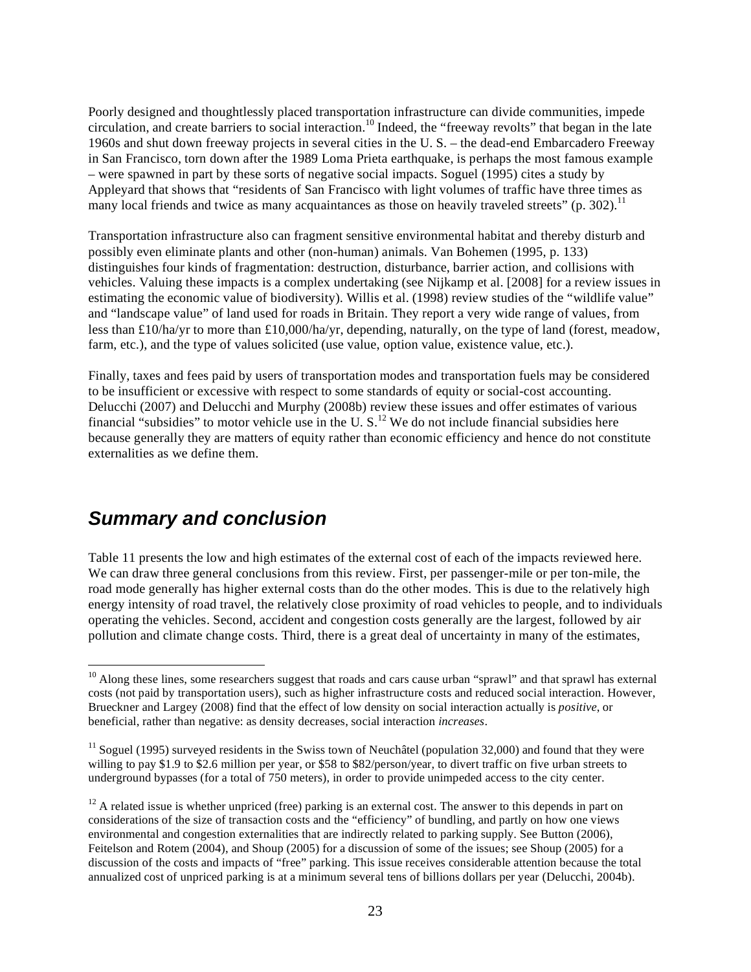Poorly designed and thoughtlessly placed transportation infrastructure can divide communities, impede circulation, and create barriers to social interaction.10 Indeed, the "freeway revolts" that began in the late 1960s and shut down freeway projects in several cities in the U. S. – the dead-end Embarcadero Freeway in San Francisco, torn down after the 1989 Loma Prieta earthquake, is perhaps the most famous example – were spawned in part by these sorts of negative social impacts. Soguel (1995) cites a study by Appleyard that shows that "residents of San Francisco with light volumes of traffic have three times as many local friends and twice as many acquaintances as those on heavily traveled streets"  $(p. 302)$ .<sup>11</sup>

Transportation infrastructure also can fragment sensitive environmental habitat and thereby disturb and possibly even eliminate plants and other (non-human) animals. Van Bohemen (1995, p. 133) distinguishes four kinds of fragmentation: destruction, disturbance, barrier action, and collisions with vehicles. Valuing these impacts is a complex undertaking (see Nijkamp et al. [2008] for a review issues in estimating the economic value of biodiversity). Willis et al. (1998) review studies of the "wildlife value" and "landscape value" of land used for roads in Britain. They report a very wide range of values, from less than £10/ha/yr to more than £10,000/ha/yr, depending, naturally, on the type of land (forest, meadow, farm, etc.), and the type of values solicited (use value, option value, existence value, etc.).

Finally, taxes and fees paid by users of transportation modes and transportation fuels may be considered to be insufficient or excessive with respect to some standards of equity or social-cost accounting. Delucchi (2007) and Delucchi and Murphy (2008b) review these issues and offer estimates of various financial "subsidies" to motor vehicle use in the U.S.<sup>12</sup> We do not include financial subsidies here because generally they are matters of equity rather than economic efficiency and hence do not constitute externalities as we define them.

## *Summary and conclusion*

Table 11 presents the low and high estimates of the external cost of each of the impacts reviewed here. We can draw three general conclusions from this review. First, per passenger-mile or per ton-mile, the road mode generally has higher external costs than do the other modes. This is due to the relatively high energy intensity of road travel, the relatively close proximity of road vehicles to people, and to individuals operating the vehicles. Second, accident and congestion costs generally are the largest, followed by air pollution and climate change costs. Third, there is a great deal of uncertainty in many of the estimates,

 $\overline{a}$ <sup>10</sup> Along these lines, some researchers suggest that roads and cars cause urban "sprawl" and that sprawl has external costs (not paid by transportation users), such as higher infrastructure costs and reduced social interaction. However, Brueckner and Largey (2008) find that the effect of low density on social interaction actually is *positive*, or beneficial, rather than negative: as density decreases, social interaction *increases*.

 $11$  Soguel (1995) surveyed residents in the Swiss town of Neuchâtel (population 32,000) and found that they were willing to pay \$1.9 to \$2.6 million per year, or \$58 to \$82/person/year, to divert traffic on five urban streets to underground bypasses (for a total of 750 meters), in order to provide unimpeded access to the city center.

 $12$  A related issue is whether unpriced (free) parking is an external cost. The answer to this depends in part on considerations of the size of transaction costs and the "efficiency" of bundling, and partly on how one views environmental and congestion externalities that are indirectly related to parking supply. See Button (2006), Feitelson and Rotem (2004), and Shoup (2005) for a discussion of some of the issues; see Shoup (2005) for a discussion of the costs and impacts of "free" parking. This issue receives considerable attention because the total annualized cost of unpriced parking is at a minimum several tens of billions dollars per year (Delucchi, 2004b).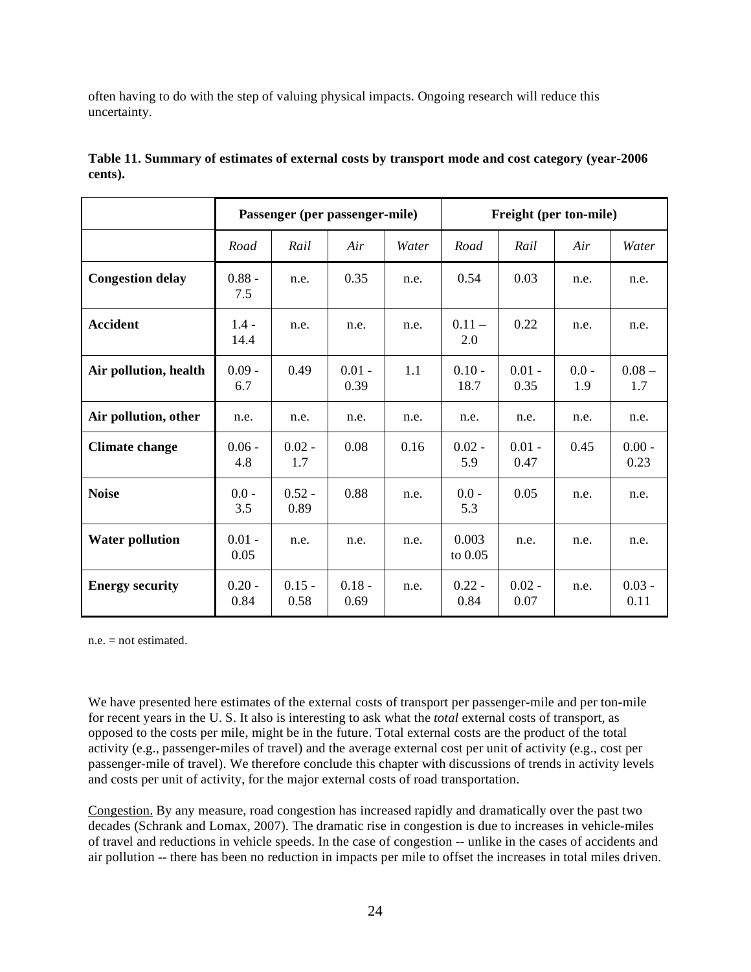often having to do with the step of valuing physical impacts. Ongoing research will reduce this uncertainty.

|                         | Passenger (per passenger-mile) |                  |                  |       | Freight (per ton-mile) |                  |                |                  |
|-------------------------|--------------------------------|------------------|------------------|-------|------------------------|------------------|----------------|------------------|
|                         | Road                           | Rail             | Air              | Water | Road                   | Rail             | Air            | Water            |
| <b>Congestion delay</b> | $0.88 -$<br>7.5                | n.e.             | 0.35             | n.e.  | 0.54                   | 0.03             | n.e.           | n.e.             |
| <b>Accident</b>         | $1.4 -$<br>14.4                | n.e.             | n.e.             | n.e.  | $0.11 -$<br>2.0        | 0.22             | n.e.           | n.e.             |
| Air pollution, health   | $0.09 -$<br>6.7                | 0.49             | $0.01 -$<br>0.39 | 1.1   | $0.10 -$<br>18.7       | $0.01 -$<br>0.35 | $0.0 -$<br>1.9 | $0.08 -$<br>1.7  |
| Air pollution, other    | n.e.                           | n.e.             | n.e.             | n.e.  | n.e.                   | n.e.             | n.e.           | n.e.             |
| <b>Climate change</b>   | $0.06 -$<br>4.8                | $0.02 -$<br>1.7  | 0.08             | 0.16  | $0.02 -$<br>5.9        | $0.01 -$<br>0.47 | 0.45           | $0.00 -$<br>0.23 |
| <b>Noise</b>            | $0.0 -$<br>3.5                 | $0.52 -$<br>0.89 | 0.88             | n.e.  | $0.0 -$<br>5.3         | 0.05             | n.e.           | n.e.             |
| <b>Water pollution</b>  | $0.01 -$<br>0.05               | n.e.             | n.e.             | n.e.  | 0.003<br>to $0.05$     | n.e.             | n.e.           | n.e.             |
| <b>Energy security</b>  | $0.20 -$<br>0.84               | $0.15 -$<br>0.58 | $0.18 -$<br>0.69 | n.e.  | $0.22 -$<br>0.84       | $0.02 -$<br>0.07 | n.e.           | $0.03 -$<br>0.11 |

**Table 11. Summary of estimates of external costs by transport mode and cost category (year-2006 cents).** 

 $n.e. = not estimated.$ 

We have presented here estimates of the external costs of transport per passenger-mile and per ton-mile for recent years in the U. S. It also is interesting to ask what the *total* external costs of transport, as opposed to the costs per mile, might be in the future. Total external costs are the product of the total activity (e.g., passenger-miles of travel) and the average external cost per unit of activity (e.g., cost per passenger-mile of travel). We therefore conclude this chapter with discussions of trends in activity levels and costs per unit of activity, for the major external costs of road transportation.

Congestion. By any measure, road congestion has increased rapidly and dramatically over the past two decades (Schrank and Lomax, 2007). The dramatic rise in congestion is due to increases in vehicle-miles of travel and reductions in vehicle speeds. In the case of congestion -- unlike in the cases of accidents and air pollution -- there has been no reduction in impacts per mile to offset the increases in total miles driven.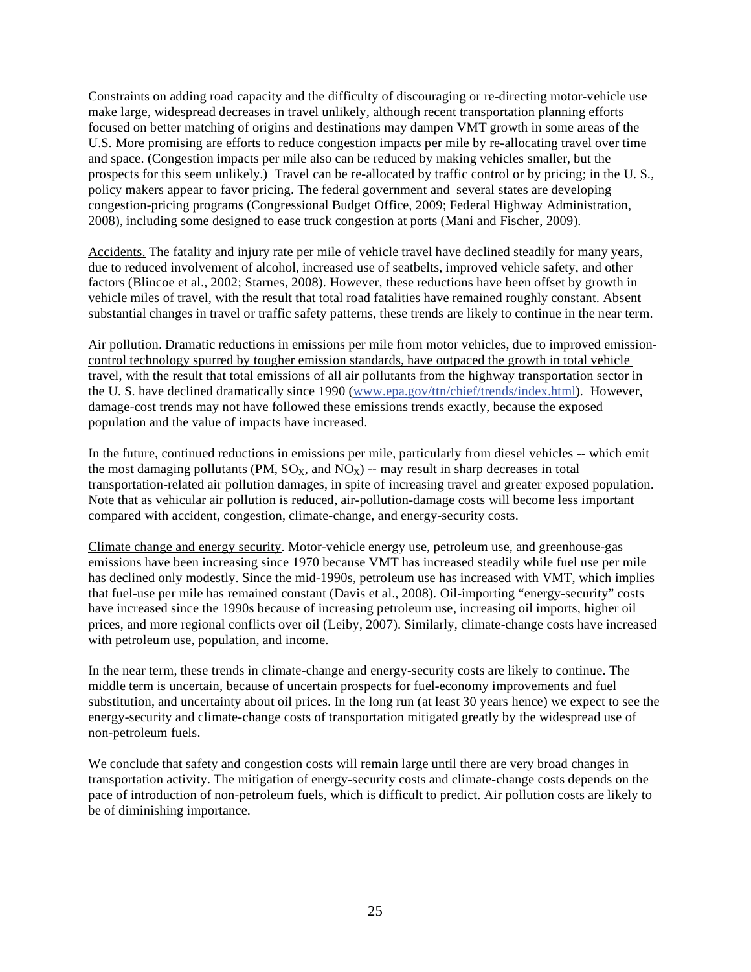Constraints on adding road capacity and the difficulty of discouraging or re-directing motor-vehicle use make large, widespread decreases in travel unlikely, although recent transportation planning efforts focused on better matching of origins and destinations may dampen VMT growth in some areas of the U.S. More promising are efforts to reduce congestion impacts per mile by re-allocating travel over time and space. (Congestion impacts per mile also can be reduced by making vehicles smaller, but the prospects for this seem unlikely.) Travel can be re-allocated by traffic control or by pricing; in the U. S., policy makers appear to favor pricing. The federal government and several states are developing congestion-pricing programs (Congressional Budget Office, 2009; Federal Highway Administration, 2008), including some designed to ease truck congestion at ports (Mani and Fischer, 2009).

Accidents. The fatality and injury rate per mile of vehicle travel have declined steadily for many years, due to reduced involvement of alcohol, increased use of seatbelts, improved vehicle safety, and other factors (Blincoe et al., 2002; Starnes, 2008). However, these reductions have been offset by growth in vehicle miles of travel, with the result that total road fatalities have remained roughly constant. Absent substantial changes in travel or traffic safety patterns, these trends are likely to continue in the near term.

Air pollution. Dramatic reductions in emissions per mile from motor vehicles, due to improved emissioncontrol technology spurred by tougher emission standards, have outpaced the growth in total vehicle travel, with the result that total emissions of all air pollutants from the highway transportation sector in the U. S. have declined dramatically since 1990 (www.epa.gov/ttn/chief/trends/index.html). However, damage-cost trends may not have followed these emissions trends exactly, because the exposed population and the value of impacts have increased.

In the future, continued reductions in emissions per mile, particularly from diesel vehicles -- which emit the most damaging pollutants (PM,  $SO_x$ , and  $NO_x$ ) -- may result in sharp decreases in total transportation-related air pollution damages, in spite of increasing travel and greater exposed population. Note that as vehicular air pollution is reduced, air-pollution-damage costs will become less important compared with accident, congestion, climate-change, and energy-security costs.

Climate change and energy security. Motor-vehicle energy use, petroleum use, and greenhouse-gas emissions have been increasing since 1970 because VMT has increased steadily while fuel use per mile has declined only modestly. Since the mid-1990s, petroleum use has increased with VMT, which implies that fuel-use per mile has remained constant (Davis et al., 2008). Oil-importing "energy-security" costs have increased since the 1990s because of increasing petroleum use, increasing oil imports, higher oil prices, and more regional conflicts over oil (Leiby, 2007). Similarly, climate-change costs have increased with petroleum use, population, and income.

In the near term, these trends in climate-change and energy-security costs are likely to continue. The middle term is uncertain, because of uncertain prospects for fuel-economy improvements and fuel substitution, and uncertainty about oil prices. In the long run (at least 30 years hence) we expect to see the energy-security and climate-change costs of transportation mitigated greatly by the widespread use of non-petroleum fuels.

We conclude that safety and congestion costs will remain large until there are very broad changes in transportation activity. The mitigation of energy-security costs and climate-change costs depends on the pace of introduction of non-petroleum fuels, which is difficult to predict. Air pollution costs are likely to be of diminishing importance.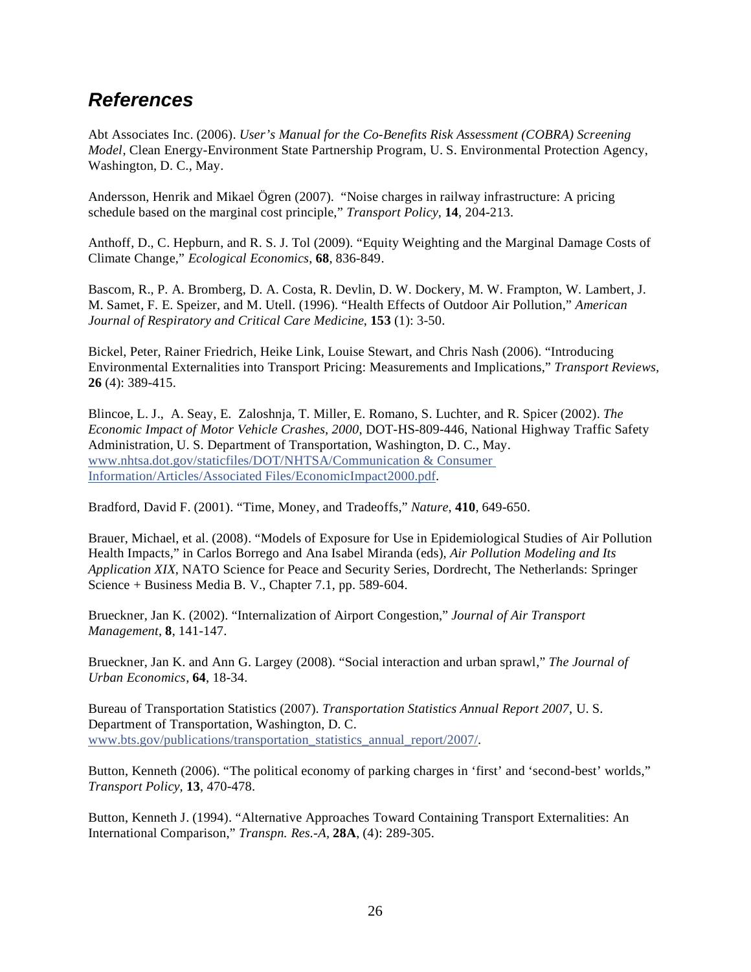## *References*

Abt Associates Inc. (2006). *User's Manual for the Co-Benefits Risk Assessment (COBRA) Screening Model*, Clean Energy-Environment State Partnership Program, U. S. Environmental Protection Agency, Washington, D. C., May.

Andersson, Henrik and Mikael Ögren (2007). "Noise charges in railway infrastructure: A pricing schedule based on the marginal cost principle," *Transport Policy,* **14**, 204-213.

Anthoff, D., C. Hepburn, and R. S. J. Tol (2009). "Equity Weighting and the Marginal Damage Costs of Climate Change," *Ecological Economics*, **68**, 836-849.

Bascom, R., P. A. Bromberg, D. A. Costa, R. Devlin, D. W. Dockery, M. W. Frampton, W. Lambert, J. M. Samet, F. E. Speizer, and M. Utell. (1996). "Health Effects of Outdoor Air Pollution," *American Journal of Respiratory and Critical Care Medicine*, **153** (1): 3-50.

Bickel, Peter, Rainer Friedrich, Heike Link, Louise Stewart, and Chris Nash (2006). "Introducing Environmental Externalities into Transport Pricing: Measurements and Implications," *Transport Reviews,* **26** (4): 389-415.

Blincoe, L. J., A. Seay, E. Zaloshnja, T. Miller, E. Romano, S. Luchter, and R. Spicer (2002). *The Economic Impact of Motor Vehicle Crashes, 2000*, DOT-HS-809-446, National Highway Traffic Safety Administration, U. S. Department of Transportation, Washington, D. C., May. www.nhtsa.dot.gov/staticfiles/DOT/NHTSA/Communication & Consumer Information/Articles/Associated Files/EconomicImpact2000.pdf.

Bradford, David F. (2001). "Time, Money, and Tradeoffs," *Nature*, **410**, 649-650.

Brauer, Michael, et al. (2008). "Models of Exposure for Use in Epidemiological Studies of Air Pollution Health Impacts," in Carlos Borrego and Ana Isabel Miranda (eds), *Air Pollution Modeling and Its Application XIX*, NATO Science for Peace and Security Series, Dordrecht, The Netherlands: Springer Science + Business Media B. V., Chapter 7.1, pp. 589-604.

Brueckner, Jan K. (2002). "Internalization of Airport Congestion," *Journal of Air Transport Management*, **8**, 141-147.

Brueckner, Jan K. and Ann G. Largey (2008). "Social interaction and urban sprawl," *The Journal of Urban Economics,* **64**, 18-34.

Bureau of Transportation Statistics (2007). *Transportation Statistics Annual Report 2007*, U. S. Department of Transportation, Washington, D. C. www.bts.gov/publications/transportation\_statistics\_annual\_report/2007/.

Button, Kenneth (2006). "The political economy of parking charges in 'first' and 'second-best' worlds," *Transport Policy,* **13**, 470-478.

Button, Kenneth J. (1994). "Alternative Approaches Toward Containing Transport Externalities: An International Comparison," *Transpn. Res.-A,* **28A**, (4): 289-305.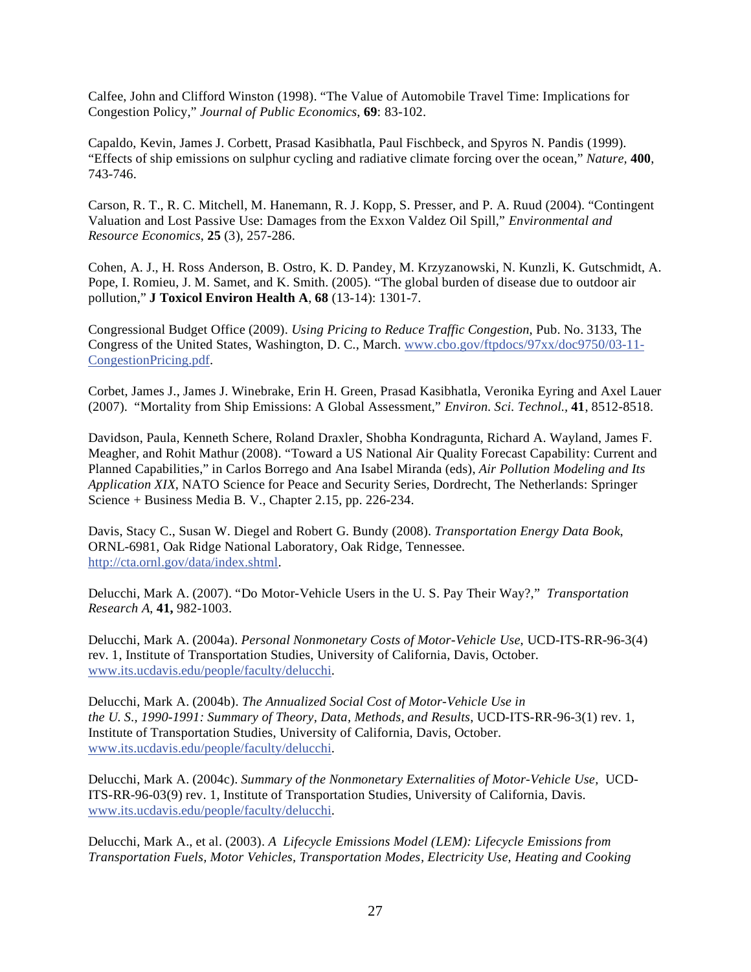Calfee, John and Clifford Winston (1998). "The Value of Automobile Travel Time: Implications for Congestion Policy," *Journal of Public Economics*, **69**: 83-102.

Capaldo, Kevin, James J. Corbett, Prasad Kasibhatla, Paul Fischbeck, and Spyros N. Pandis (1999). "Effects of ship emissions on sulphur cycling and radiative climate forcing over the ocean," *Nature,* **400**, 743-746.

Carson, R. T., R. C. Mitchell, M. Hanemann, R. J. Kopp, S. Presser, and P. A. Ruud (2004). "Contingent Valuation and Lost Passive Use: Damages from the Exxon Valdez Oil Spill," *Environmental and Resource Economics*, **25** (3), 257-286.

Cohen, A. J., H. Ross Anderson, B. Ostro, K. D. Pandey, M. Krzyzanowski, N. Kunzli, K. Gutschmidt, A. Pope, I. Romieu, J. M. Samet, and K. Smith. (2005). "The global burden of disease due to outdoor air pollution," **J Toxicol Environ Health A**, **68** (13-14): 1301-7.

Congressional Budget Office (2009). *Using Pricing to Reduce Traffic Congestion*, Pub. No. 3133, The Congress of the United States, Washington, D. C., March. www.cbo.gov/ftpdocs/97xx/doc9750/03-11- CongestionPricing.pdf.

Corbet, James J., James J. Winebrake, Erin H. Green, Prasad Kasibhatla, Veronika Eyring and Axel Lauer (2007). "Mortality from Ship Emissions: A Global Assessment," *Environ. Sci. Technol.,* **41**, 8512-8518.

Davidson, Paula, Kenneth Schere, Roland Draxler, Shobha Kondragunta, Richard A. Wayland, James F. Meagher, and Rohit Mathur (2008). "Toward a US National Air Quality Forecast Capability: Current and Planned Capabilities," in Carlos Borrego and Ana Isabel Miranda (eds), *Air Pollution Modeling and Its Application XIX*, NATO Science for Peace and Security Series, Dordrecht, The Netherlands: Springer Science + Business Media B. V., Chapter 2.15, pp. 226-234.

Davis, Stacy C., Susan W. Diegel and Robert G. Bundy (2008). *Transportation Energy Data Book*, ORNL-6981, Oak Ridge National Laboratory, Oak Ridge, Tennessee. http://cta.ornl.gov/data/index.shtml.

Delucchi, Mark A. (2007). "Do Motor-Vehicle Users in the U. S. Pay Their Way?," *Transportation Research A*, **41,** 982-1003.

Delucchi, Mark A. (2004a). *Personal Nonmonetary Costs of Motor-Vehicle Use*, UCD-ITS-RR-96-3(4) rev. 1, Institute of Transportation Studies, University of California, Davis, October. www.its.ucdavis.edu/people/faculty/delucchi.

Delucchi, Mark A. (2004b). *The Annualized Social Cost of Motor-Vehicle Use in the U. S., 1990-1991: Summary of Theory, Data, Methods, and Results*, UCD-ITS-RR-96-3(1) rev. 1, Institute of Transportation Studies, University of California, Davis, October. www.its.ucdavis.edu/people/faculty/delucchi.

Delucchi, Mark A. (2004c). *Summary of the Nonmonetary Externalities of Motor-Vehicle Use,* UCD-ITS-RR-96-03(9) rev. 1, Institute of Transportation Studies, University of California, Davis. www.its.ucdavis.edu/people/faculty/delucchi.

Delucchi, Mark A., et al. (2003). *A Lifecycle Emissions Model (LEM): Lifecycle Emissions from Transportation Fuels, Motor Vehicles, Transportation Modes, Electricity Use, Heating and Cooking*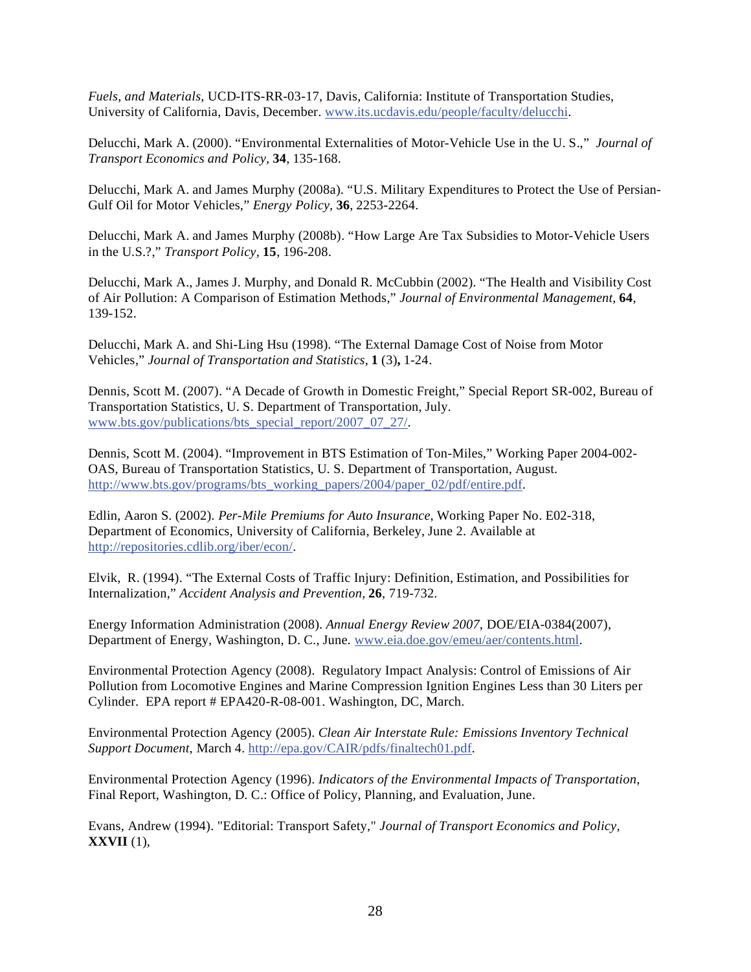*Fuels, and Materials*, UCD-ITS-RR-03-17, Davis, California: Institute of Transportation Studies, University of California, Davis, December. www.its.ucdavis.edu/people/faculty/delucchi.

Delucchi, Mark A. (2000). "Environmental Externalities of Motor-Vehicle Use in the U. S.," *Journal of Transport Economics and Policy,* **34**, 135-168.

Delucchi, Mark A. and James Murphy (2008a). "U.S. Military Expenditures to Protect the Use of Persian-Gulf Oil for Motor Vehicles," *Energy Policy,* **36**, 2253-2264.

Delucchi, Mark A. and James Murphy (2008b). "How Large Are Tax Subsidies to Motor-Vehicle Users in the U.S.?," *Transport Policy,* **15**, 196-208.

Delucchi, Mark A., James J. Murphy, and Donald R. McCubbin (2002). "The Health and Visibility Cost of Air Pollution: A Comparison of Estimation Methods," *Journal of Environmental Management*, **64**, 139-152.

Delucchi, Mark A. and Shi-Ling Hsu (1998). "The External Damage Cost of Noise from Motor Vehicles," *Journal of Transportation and Statistics,* **1** (3)**,** 1-24.

Dennis, Scott M. (2007). "A Decade of Growth in Domestic Freight," Special Report SR-002, Bureau of Transportation Statistics, U. S. Department of Transportation, July. www.bts.gov/publications/bts\_special\_report/2007\_07\_27/.

Dennis, Scott M. (2004). "Improvement in BTS Estimation of Ton-Miles," Working Paper 2004-002- OAS, Bureau of Transportation Statistics, U. S. Department of Transportation, August. http://www.bts.gov/programs/bts\_working\_papers/2004/paper\_02/pdf/entire.pdf.

Edlin, Aaron S. (2002). *Per-Mile Premiums for Auto Insurance*, Working Paper No. E02-318, Department of Economics, University of California, Berkeley, June 2. Available at http://repositories.cdlib.org/iber/econ/.

Elvik, R. (1994). "The External Costs of Traffic Injury: Definition, Estimation, and Possibilities for Internalization," *Accident Analysis and Prevention,* **26**, 719-732.

Energy Information Administration (2008). *Annual Energy Review 2007*, DOE/EIA-0384(2007), Department of Energy, Washington, D. C., June. www.eia.doe.gov/emeu/aer/contents.html.

Environmental Protection Agency (2008). Regulatory Impact Analysis: Control of Emissions of Air Pollution from Locomotive Engines and Marine Compression Ignition Engines Less than 30 Liters per Cylinder. EPA report # EPA420-R-08-001. Washington, DC, March.

Environmental Protection Agency (2005). *Clean Air Interstate Rule: Emissions Inventory Technical Support Document*, March 4. http://epa.gov/CAIR/pdfs/finaltech01.pdf.

Environmental Protection Agency (1996). *Indicators of the Environmental Impacts of Transportation,*  Final Report, Washington, D. C.: Office of Policy, Planning, and Evaluation, June.

Evans, Andrew (1994). "Editorial: Transport Safety," *Journal of Transport Economics and Policy,*  **XXVII** (1),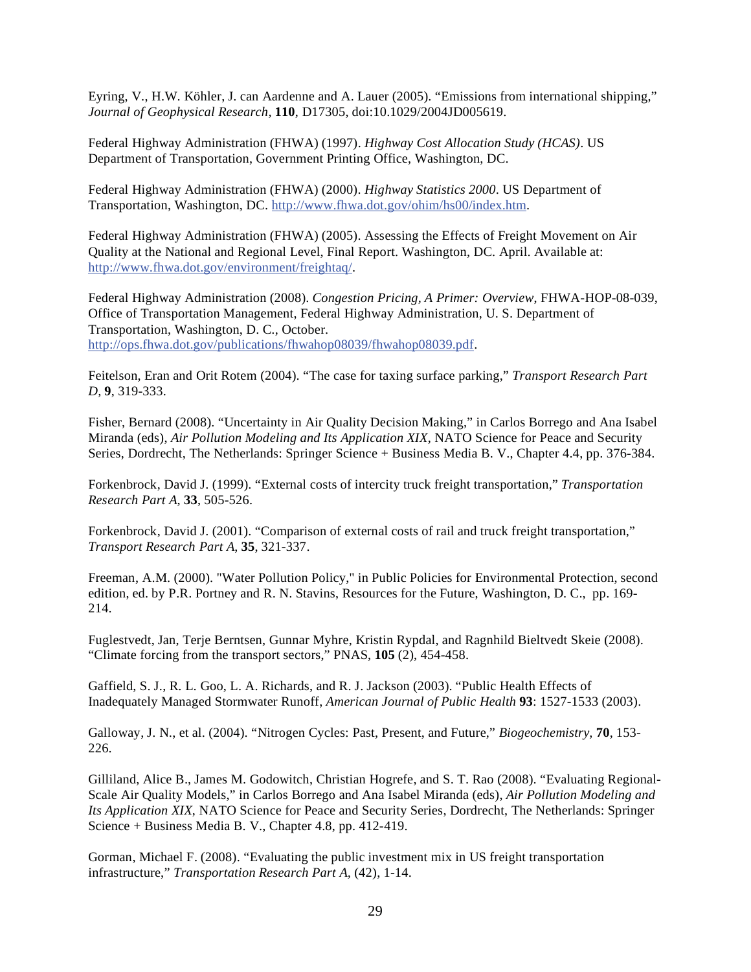Eyring, V., H.W. Köhler, J. can Aardenne and A. Lauer (2005). "Emissions from international shipping," *Journal of Geophysical Research,* **110**, D17305, doi:10.1029/2004JD005619.

Federal Highway Administration (FHWA) (1997). *Highway Cost Allocation Study (HCAS)*. US Department of Transportation, Government Printing Office, Washington, DC.

Federal Highway Administration (FHWA) (2000). *Highway Statistics 2000*. US Department of Transportation, Washington, DC. http://www.fhwa.dot.gov/ohim/hs00/index.htm.

Federal Highway Administration (FHWA) (2005). Assessing the Effects of Freight Movement on Air Quality at the National and Regional Level, Final Report. Washington, DC. April. Available at: http://www.fhwa.dot.gov/environment/freightaq/.

Federal Highway Administration (2008). *Congestion Pricing, A Primer: Overview*, FHWA-HOP-08-039, Office of Transportation Management, Federal Highway Administration, U. S. Department of Transportation, Washington, D. C., October. http://ops.fhwa.dot.gov/publications/fhwahop08039/fhwahop08039.pdf.

Feitelson, Eran and Orit Rotem (2004). "The case for taxing surface parking," *Transport Research Part D,* **9**, 319-333.

Fisher, Bernard (2008). "Uncertainty in Air Quality Decision Making," in Carlos Borrego and Ana Isabel Miranda (eds), *Air Pollution Modeling and Its Application XIX*, NATO Science for Peace and Security Series, Dordrecht, The Netherlands: Springer Science + Business Media B. V., Chapter 4.4, pp. 376-384.

Forkenbrock, David J. (1999). "External costs of intercity truck freight transportation," *Transportation Research Part A,* **33**, 505-526.

Forkenbrock, David J. (2001). "Comparison of external costs of rail and truck freight transportation," *Transport Research Part A*, **35**, 321-337.

Freeman, A.M. (2000). "Water Pollution Policy," in Public Policies for Environmental Protection, second edition, ed. by P.R. Portney and R. N. Stavins, Resources for the Future, Washington, D. C., pp. 169- 214.

Fuglestvedt, Jan, Terje Berntsen, Gunnar Myhre, Kristin Rypdal, and Ragnhild Bieltvedt Skeie (2008). "Climate forcing from the transport sectors," PNAS, **105** (2), 454-458.

Gaffield, S. J., R. L. Goo, L. A. Richards, and R. J. Jackson (2003). "Public Health Effects of Inadequately Managed Stormwater Runoff, *American Journal of Public Health* **93**: 1527-1533 (2003).

Galloway, J. N., et al. (2004). "Nitrogen Cycles: Past, Present, and Future," *Biogeochemistry,* **70**, 153- 226.

Gilliland, Alice B., James M. Godowitch, Christian Hogrefe, and S. T. Rao (2008). "Evaluating Regional-Scale Air Quality Models," in Carlos Borrego and Ana Isabel Miranda (eds), *Air Pollution Modeling and Its Application XIX*, NATO Science for Peace and Security Series, Dordrecht, The Netherlands: Springer Science + Business Media B. V., Chapter 4.8, pp. 412-419.

Gorman, Michael F. (2008). "Evaluating the public investment mix in US freight transportation infrastructure," *Transportation Research Part A,* (42), 1-14.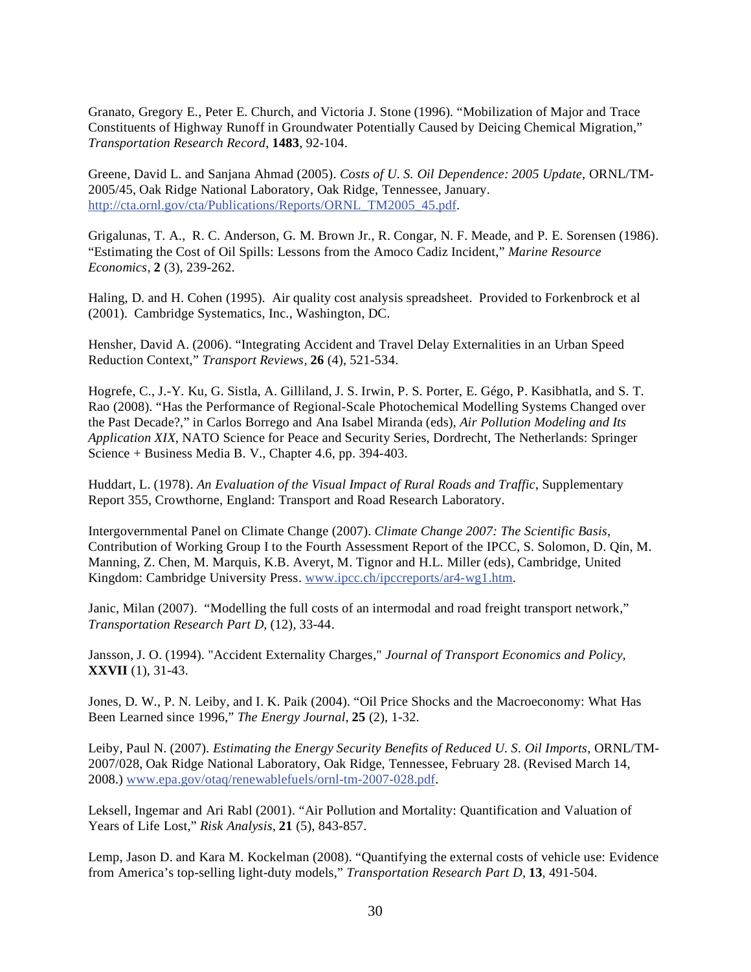Granato, Gregory E., Peter E. Church, and Victoria J. Stone (1996). "Mobilization of Major and Trace Constituents of Highway Runoff in Groundwater Potentially Caused by Deicing Chemical Migration," *Transportation Research Record*, **1483**, 92-104.

Greene, David L. and Sanjana Ahmad (2005). *Costs of U. S. Oil Dependence: 2005 Update*, ORNL/TM-2005/45, Oak Ridge National Laboratory, Oak Ridge, Tennessee, January. http://cta.ornl.gov/cta/Publications/Reports/ORNL\_TM2005\_45.pdf.

Grigalunas, T. A., R. C. Anderson, G. M. Brown Jr., R. Congar, N. F. Meade, and P. E. Sorensen (1986). "Estimating the Cost of Oil Spills: Lessons from the Amoco Cadiz Incident," *Marine Resource Economics*, **2** (3), 239-262.

Haling, D. and H. Cohen (1995). Air quality cost analysis spreadsheet. Provided to Forkenbrock et al (2001). Cambridge Systematics, Inc., Washington, DC.

Hensher, David A. (2006). "Integrating Accident and Travel Delay Externalities in an Urban Speed Reduction Context," *Transport Reviews,* **26** (4), 521-534.

Hogrefe, C., J.-Y. Ku, G. Sistla, A. Gilliland, J. S. Irwin, P. S. Porter, E. Gégo, P. Kasibhatla, and S. T. Rao (2008). "Has the Performance of Regional-Scale Photochemical Modelling Systems Changed over the Past Decade?," in Carlos Borrego and Ana Isabel Miranda (eds), *Air Pollution Modeling and Its Application XIX*, NATO Science for Peace and Security Series, Dordrecht, The Netherlands: Springer Science + Business Media B. V., Chapter 4.6, pp. 394-403.

Huddart, L. (1978). *An Evaluation of the Visual Impact of Rural Roads and Traffic*, Supplementary Report 355, Crowthorne, England: Transport and Road Research Laboratory.

Intergovernmental Panel on Climate Change (2007). *Climate Change 2007: The Scientific Basis*, Contribution of Working Group I to the Fourth Assessment Report of the IPCC, S. Solomon, D. Qin, M. Manning, Z. Chen, M. Marquis, K.B. Averyt, M. Tignor and H.L. Miller (eds), Cambridge, United Kingdom: Cambridge University Press. www.ipcc.ch/ipccreports/ar4-wg1.htm.

Janic, Milan (2007). "Modelling the full costs of an intermodal and road freight transport network," *Transportation Research Part D,* (12), 33-44.

Jansson, J. O. (1994). "Accident Externality Charges," *Journal of Transport Economics and Policy,*  **XXVII** (1), 31-43.

Jones, D. W., P. N. Leiby, and I. K. Paik (2004). "Oil Price Shocks and the Macroeconomy: What Has Been Learned since 1996," *The Energy Journal*, **25** (2), 1-32.

Leiby, Paul N. (2007). *Estimating the Energy Security Benefits of Reduced U. S. Oil Imports*, ORNL/TM-2007/028, Oak Ridge National Laboratory, Oak Ridge, Tennessee, February 28. (Revised March 14, 2008.) www.epa.gov/otaq/renewablefuels/ornl-tm-2007-028.pdf.

Leksell, Ingemar and Ari Rabl (2001). "Air Pollution and Mortality: Quantification and Valuation of Years of Life Lost," *Risk Analysis*, **21** (5), 843-857.

Lemp, Jason D. and Kara M. Kockelman (2008). "Quantifying the external costs of vehicle use: Evidence from America's top-selling light-duty models," *Transportation Research Part D,* **13**, 491-504.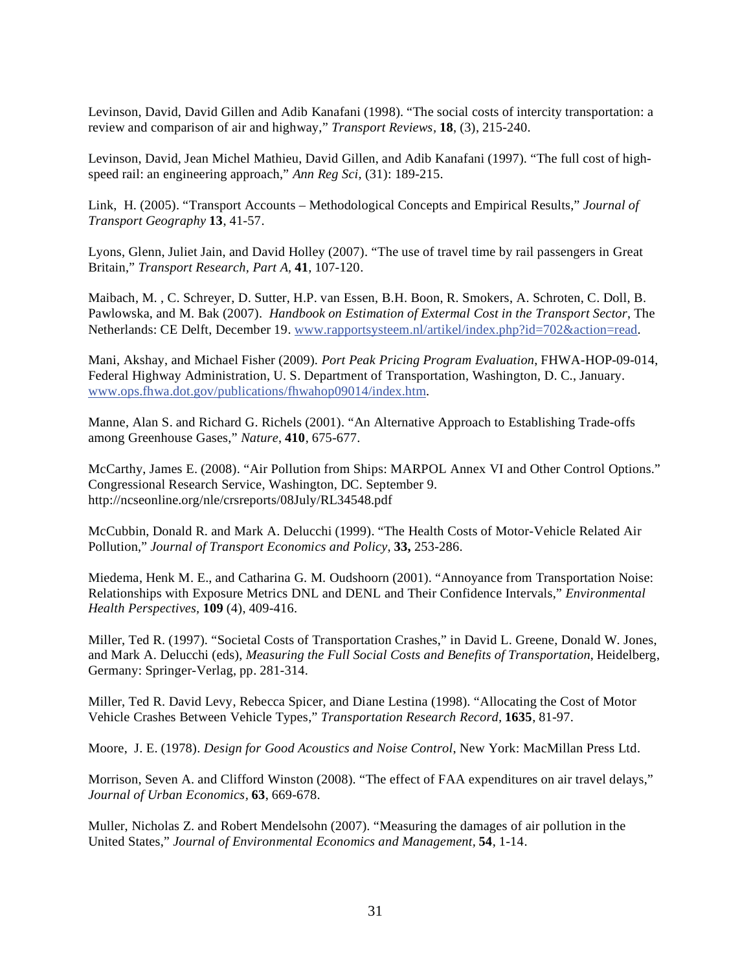Levinson, David, David Gillen and Adib Kanafani (1998). "The social costs of intercity transportation: a review and comparison of air and highway," *Transport Reviews,* **18**, (3), 215-240.

Levinson, David, Jean Michel Mathieu, David Gillen, and Adib Kanafani (1997). "The full cost of highspeed rail: an engineering approach," *Ann Reg Sci,* (31): 189-215.

Link, H. (2005). "Transport Accounts – Methodological Concepts and Empirical Results," *Journal of Transport Geography* **13**, 41-57.

Lyons, Glenn, Juliet Jain, and David Holley (2007). "The use of travel time by rail passengers in Great Britain," *Transport Research, Part A,* **41**, 107-120.

Maibach, M. , C. Schreyer, D. Sutter, H.P. van Essen, B.H. Boon, R. Smokers, A. Schroten, C. Doll, B. Pawlowska, and M. Bak (2007). *Handbook on Estimation of Extermal Cost in the Transport Sector*, The Netherlands: CE Delft, December 19. www.rapportsysteem.nl/artikel/index.php?id=702&action=read.

Mani, Akshay, and Michael Fisher (2009). *Port Peak Pricing Program Evaluation*, FHWA-HOP-09-014, Federal Highway Administration, U. S. Department of Transportation, Washington, D. C., January. www.ops.fhwa.dot.gov/publications/fhwahop09014/index.htm.

Manne, Alan S. and Richard G. Richels (2001). "An Alternative Approach to Establishing Trade-offs among Greenhouse Gases," *Nature*, **410**, 675-677.

McCarthy, James E. (2008). "Air Pollution from Ships: MARPOL Annex VI and Other Control Options." Congressional Research Service, Washington, DC. September 9. http://ncseonline.org/nle/crsreports/08July/RL34548.pdf

McCubbin, Donald R. and Mark A. Delucchi (1999). "The Health Costs of Motor-Vehicle Related Air Pollution," *Journal of Transport Economics and Policy*, **33,** 253-286.

Miedema, Henk M. E., and Catharina G. M. Oudshoorn (2001). "Annoyance from Transportation Noise: Relationships with Exposure Metrics DNL and DENL and Their Confidence Intervals," *Environmental Health Perspectives,* **109** (4), 409-416.

Miller, Ted R. (1997). "Societal Costs of Transportation Crashes," in David L. Greene, Donald W. Jones, and Mark A. Delucchi (eds), *Measuring the Full Social Costs and Benefits of Transportation*, Heidelberg, Germany: Springer-Verlag, pp. 281-314.

Miller, Ted R. David Levy, Rebecca Spicer, and Diane Lestina (1998). "Allocating the Cost of Motor Vehicle Crashes Between Vehicle Types," *Transportation Research Record,* **1635**, 81-97.

Moore, J. E. (1978). *Design for Good Acoustics and Noise Control*, New York: MacMillan Press Ltd.

Morrison, Seven A. and Clifford Winston (2008). "The effect of FAA expenditures on air travel delays," *Journal of Urban Economics,* **63**, 669-678.

Muller, Nicholas Z. and Robert Mendelsohn (2007). "Measuring the damages of air pollution in the United States," *Journal of Environmental Economics and Management,* **54**, 1-14.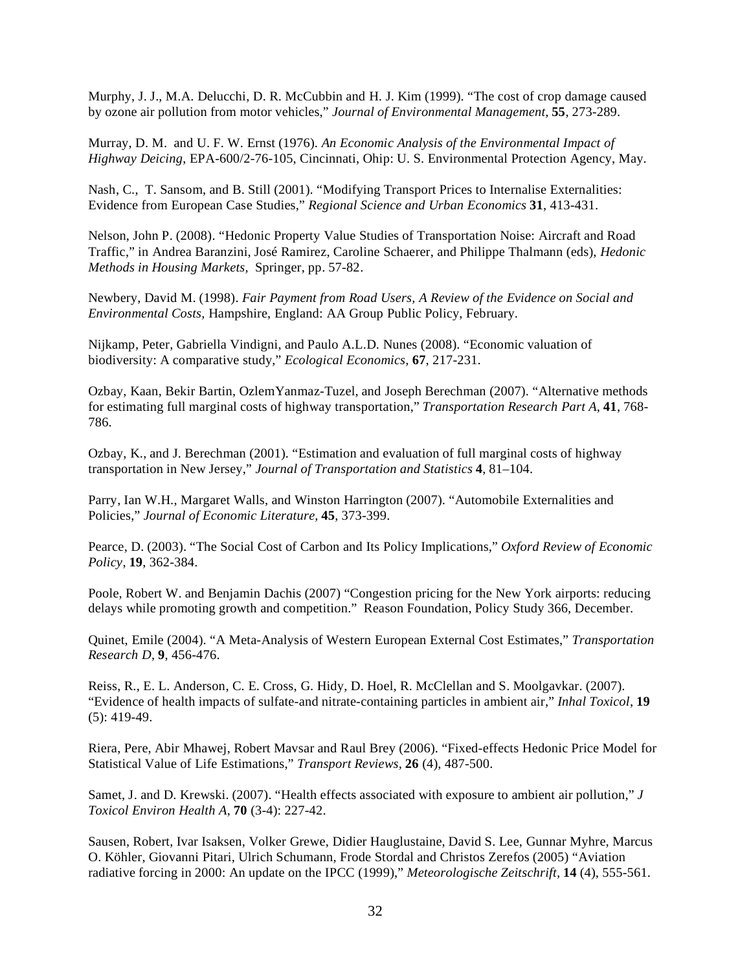Murphy, J. J., M.A. Delucchi, D. R. McCubbin and H. J. Kim (1999). "The cost of crop damage caused by ozone air pollution from motor vehicles," *Journal of Environmental Management,* **55**, 273-289.

Murray, D. M. and U. F. W. Ernst (1976). *An Economic Analysis of the Environmental Impact of Highway Deicing*, EPA-600/2-76-105, Cincinnati, Ohip: U. S. Environmental Protection Agency, May.

Nash, C., T. Sansom, and B. Still (2001). "Modifying Transport Prices to Internalise Externalities: Evidence from European Case Studies," *Regional Science and Urban Economics* **31**, 413-431.

Nelson, John P. (2008). "Hedonic Property Value Studies of Transportation Noise: Aircraft and Road Traffic," in Andrea Baranzini, José Ramirez, Caroline Schaerer, and Philippe Thalmann (eds), *Hedonic Methods in Housing Markets,* Springer, pp. 57-82.

Newbery, David M. (1998). *Fair Payment from Road Users, A Review of the Evidence on Social and Environmental Costs,* Hampshire, England: AA Group Public Policy, February.

Nijkamp, Peter, Gabriella Vindigni, and Paulo A.L.D. Nunes (2008). "Economic valuation of biodiversity: A comparative study," *Ecological Economics,* **67**, 217-231.

Ozbay, Kaan, Bekir Bartin, OzlemYanmaz-Tuzel, and Joseph Berechman (2007). "Alternative methods for estimating full marginal costs of highway transportation," *Transportation Research Part A*, **41**, 768- 786.

Ozbay, K., and J. Berechman (2001). "Estimation and evaluation of full marginal costs of highway transportation in New Jersey," *Journal of Transportation and Statistics* **4**, 81–104.

Parry, Ian W.H., Margaret Walls, and Winston Harrington (2007). "Automobile Externalities and Policies," *Journal of Economic Literature,* **45**, 373-399.

Pearce, D. (2003). "The Social Cost of Carbon and Its Policy Implications," *Oxford Review of Economic Policy*, **19**, 362-384.

Poole, Robert W. and Benjamin Dachis (2007) "Congestion pricing for the New York airports: reducing delays while promoting growth and competition." Reason Foundation, Policy Study 366, December.

Quinet, Emile (2004). "A Meta-Analysis of Western European External Cost Estimates," *Transportation Research D*, **9**, 456-476.

Reiss, R., E. L. Anderson, C. E. Cross, G. Hidy, D. Hoel, R. McClellan and S. Moolgavkar. (2007). "Evidence of health impacts of sulfate-and nitrate-containing particles in ambient air," *Inhal Toxicol*, **19** (5): 419-49.

Riera, Pere, Abir Mhawej, Robert Mavsar and Raul Brey (2006). "Fixed-effects Hedonic Price Model for Statistical Value of Life Estimations," *Transport Reviews,* **26** (4), 487-500.

Samet, J. and D. Krewski. (2007). "Health effects associated with exposure to ambient air pollution," *J Toxicol Environ Health A*, **70** (3-4): 227-42.

Sausen, Robert, Ivar Isaksen, Volker Grewe, Didier Hauglustaine, David S. Lee, Gunnar Myhre, Marcus O. Köhler, Giovanni Pitari, Ulrich Schumann, Frode Stordal and Christos Zerefos (2005) "Aviation radiative forcing in 2000: An update on the IPCC (1999)," *Meteorologische Zeitschrift,* **14** (4), 555-561.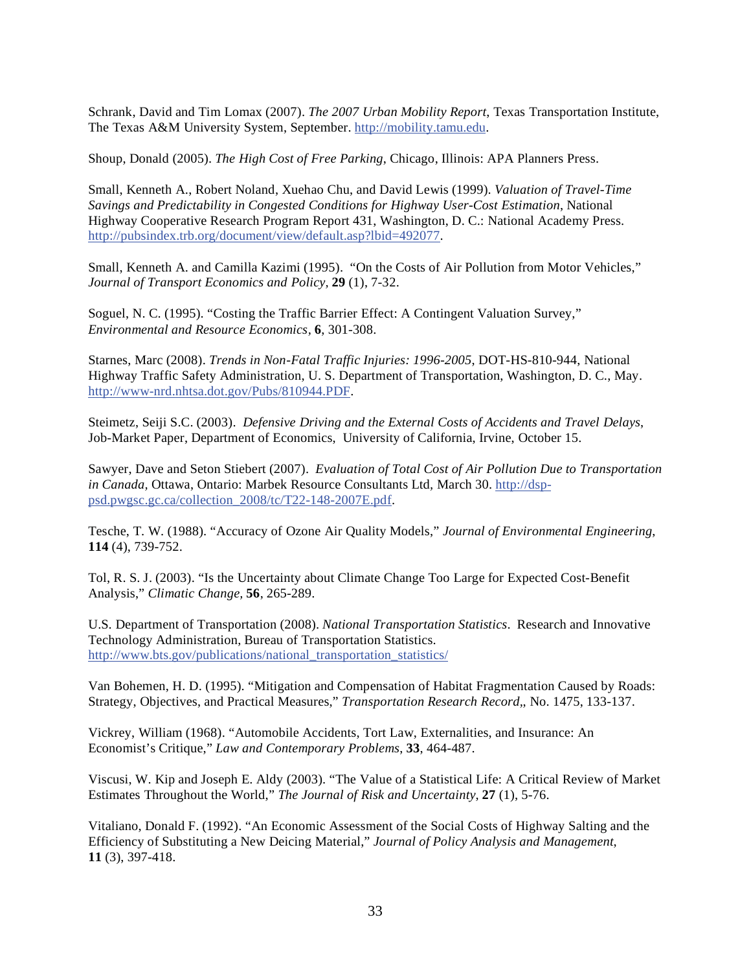Schrank, David and Tim Lomax (2007). *The 2007 Urban Mobility Report*, Texas Transportation Institute, The Texas A&M University System, September. http://mobility.tamu.edu.

Shoup, Donald (2005). *The High Cost of Free Parking*, Chicago, Illinois: APA Planners Press.

Small, Kenneth A., Robert Noland, Xuehao Chu, and David Lewis (1999). *Valuation of Travel-Time Savings and Predictability in Congested Conditions for Highway User-Cost Estimation*, National Highway Cooperative Research Program Report 431, Washington, D. C.: National Academy Press. http://pubsindex.trb.org/document/view/default.asp?lbid=492077.

Small, Kenneth A. and Camilla Kazimi (1995). "On the Costs of Air Pollution from Motor Vehicles," *Journal of Transport Economics and Policy,* **29** (1), 7-32.

Soguel, N. C. (1995). "Costing the Traffic Barrier Effect: A Contingent Valuation Survey," *Environmental and Resource Economics,* **6**, 301-308.

Starnes, Marc (2008). *Trends in Non-Fatal Traffic Injuries: 1996-2005*, DOT-HS-810-944, National Highway Traffic Safety Administration, U. S. Department of Transportation, Washington, D. C., May. http://www-nrd.nhtsa.dot.gov/Pubs/810944.PDF.

Steimetz, Seiji S.C. (2003). *Defensive Driving and the External Costs of Accidents and Travel Delays*, Job-Market Paper, Department of Economics, University of California, Irvine, October 15.

Sawyer, Dave and Seton Stiebert (2007). *Evaluation of Total Cost of Air Pollution Due to Transportation in Canada,* Ottawa, Ontario: Marbek Resource Consultants Ltd*,* March 30. http://dsppsd.pwgsc.gc.ca/collection\_2008/tc/T22-148-2007E.pdf.

Tesche, T. W. (1988). "Accuracy of Ozone Air Quality Models," *Journal of Environmental Engineering*, **114** (4), 739-752.

Tol, R. S. J. (2003). "Is the Uncertainty about Climate Change Too Large for Expected Cost-Benefit Analysis," *Climatic Change,* **56**, 265-289.

U.S. Department of Transportation (2008). *National Transportation Statistics*. Research and Innovative Technology Administration, Bureau of Transportation Statistics. http://www.bts.gov/publications/national\_transportation\_statistics/

Van Bohemen, H. D. (1995). "Mitigation and Compensation of Habitat Fragmentation Caused by Roads: Strategy, Objectives, and Practical Measures," *Transportation Research Record,*, No. 1475, 133-137.

Vickrey, William (1968). "Automobile Accidents, Tort Law, Externalities, and Insurance: An Economist's Critique," *Law and Contemporary Problems*, **33**, 464-487.

Viscusi, W. Kip and Joseph E. Aldy (2003). "The Value of a Statistical Life: A Critical Review of Market Estimates Throughout the World," *The Journal of Risk and Uncertainty*, **27** (1), 5-76.

Vitaliano, Donald F. (1992). "An Economic Assessment of the Social Costs of Highway Salting and the Efficiency of Substituting a New Deicing Material," *Journal of Policy Analysis and Management*, **11** (3), 397-418.